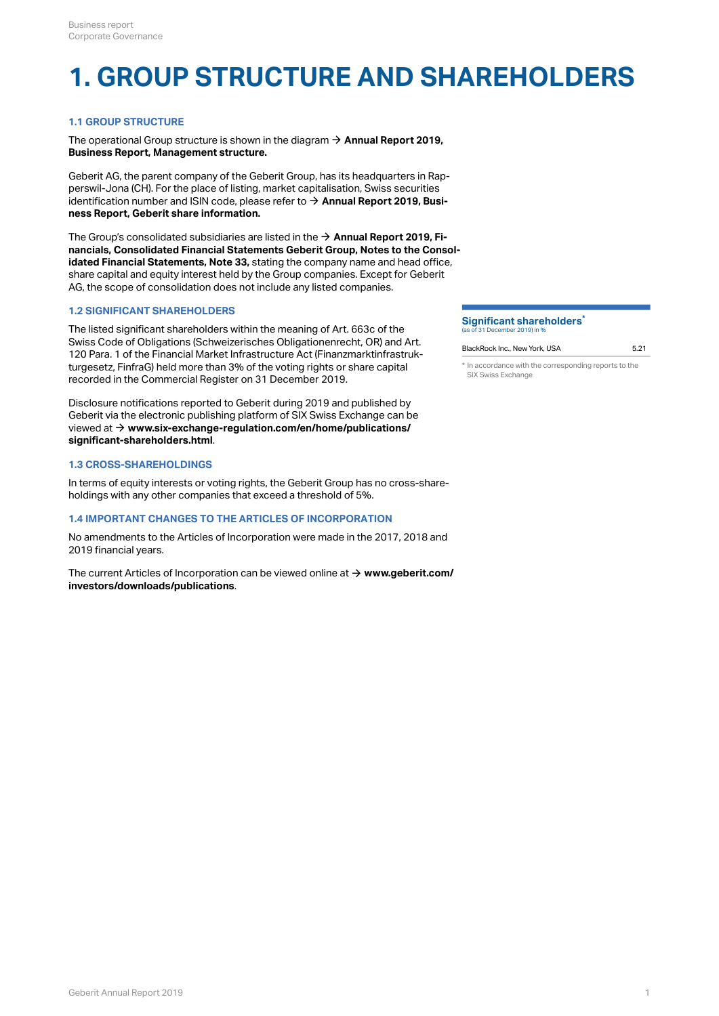## **1. GROUP STRUCTURE AND SHAREHOLDERS**

## **1.1 GROUP STRUCTURE**

The operational Group structure is shown in the diagram → [Annual Report 2019,](http://annualreport.geberit.com/reports/geberit/annual/2019/gb/English/1040/management-structure.html) **[Business Report, Management structure.](http://annualreport.geberit.com/reports/geberit/annual/2019/gb/English/1040/management-structure.html)**

Geberit AG, the parent company of the Geberit Group, has its headquarters in Rapperswil-Jona (CH). For the place of listing, market capitalisation, Swiss securities identification number and ISIN code, please refer to → [Annual Report 2019, Busi](http://annualreport.geberit.com/reports/geberit/annual/2019/gb/English/1030/geberit-share-information.html)**[ness Report, Geberit share information.](http://annualreport.geberit.com/reports/geberit/annual/2019/gb/English/1030/geberit-share-information.html)**

The Group's consolidated subsidiaries are listed in the → **[Annual Report 2019, Fi](http://annualreport.geberit.com/reports/geberit/annual/2019/gb/English/20405033/33_-group-companies-as-of-31-december-2019.html)[nancials, Consolidated Financial Statements Geberit Group, Notes to the Consol](http://annualreport.geberit.com/reports/geberit/annual/2019/gb/English/20405033/33_-group-companies-as-of-31-december-2019.html)[idated Financial Statements, Note 33,](http://annualreport.geberit.com/reports/geberit/annual/2019/gb/English/20405033/33_-group-companies-as-of-31-december-2019.html)**  stating the company name and head office, share capital and equity interest held by the Group companies. Except for Geberit AG, the scope of consolidation does not include any listed companies.

## **1.2 SIGNIFICANT SHAREHOLDERS**

The listed significant shareholders within the meaning of Art. 663c of the Swiss Code of Obligations (Schweizerisches Obligationenrecht, OR) and Art. 120 Para. 1 of the Financial Market Infrastructure Act (Finanzmarktinfrastrukturgesetz, FinfraG) held more than 3% of the voting rights or share capital recorded in the Commercial Register on 31 December 2019.

Disclosure notifications reported to Geberit during 2019 and published by Geberit via the electronic publishing platform of SIX Swiss Exchange can be viewed at **→ [www.six-exchange-regulation.com/en/home/publications/](https://www.six-exchange-regulation.com/en/home/publications/significant-shareholders.html) [significant-shareholders.html](https://www.six-exchange-regulation.com/en/home/publications/significant-shareholders.html)** .

## **1.3 CROSS-SHAREHOLDINGS**

In terms of equity interests or voting rights, the Geberit Group has no cross-shareholdings with any other companies that exceed a threshold of 5%.

## **1.4 IMPORTANT CHANGES TO THE ARTICLES OF INCORPORATION**

No amendments to the Articles of Incorporation were made in the 2017, 2018 and 2019 financial years.

The current Articles of Incorporation can be viewed online at → [www.geberit.com/](https://www.geberit.com/investors/downloads/publications/) **[investors/downloads/publications](https://www.geberit.com/investors/downloads/publications/)** .

#### **Significant shareholders \***(as of 31 December 2019) in %

## BlackRock Inc., New York, USA 6.21

\* In accordance with the corresponding reports to the SIX Swiss Exchange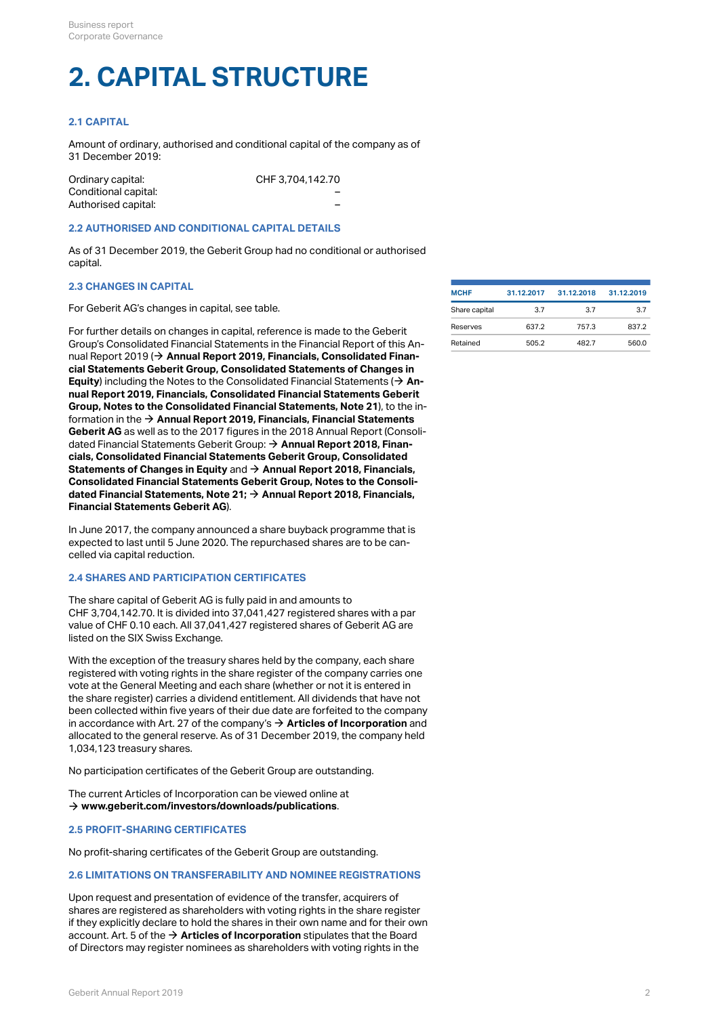# **2. CAPITAL STRUCTURE**

## **2.1 CAPITAL**

Amount of ordinary, authorised and conditional capital of the company as of 31 December 2019:

| Ordinary capital:    | CHF 3.704.142.70 |
|----------------------|------------------|
| Conditional capital: |                  |
| Authorised capital:  |                  |

### **2.2 AUTHORISED AND CONDITIONAL CAPITAL DETAILS**

As of 31 December 2019, the Geberit Group had no conditional or authorised capital.

## **2.3 CHANGES IN CAPITAL**

For Geberit AG's changes in capital, see table.

For further details on changes in capital, reference is made to the Geberit Group's Consolidated Financial Statements in the Financial Report of this An-nual Report 2019 (→ [Annual Report 2019, Financials, Consolidated Finan](http://annualreport.geberit.com/reports/geberit/annual/2019/gb/English/204030/consolidated-statements-of-comprehensive-income-and-changes-in-equity.html)**[cial Statements Geberit Group, Consolidated Statements of Changes in](http://annualreport.geberit.com/reports/geberit/annual/2019/gb/English/204030/consolidated-statements-of-comprehensive-income-and-changes-in-equity.html)**  [Equity](http://annualreport.geberit.com/reports/geberit/annual/2019/gb/English/204030/consolidated-statements-of-comprehensive-income-and-changes-in-equity.html)) including the Notes to the Consolidated Financial Statements ( $\rightarrow$  [An](http://annualreport.geberit.com/reports/geberit/annual/2019/gb/English/20405021/21_-capital-stock-and-treasury-shares.html)**[nual Report 2019, Financials, Consolidated Financial Statements Geberit](http://annualreport.geberit.com/reports/geberit/annual/2019/gb/English/20405021/21_-capital-stock-and-treasury-shares.html) [Group, Notes to the Consolidated Financial Statements, Note 21](http://annualreport.geberit.com/reports/geberit/annual/2019/gb/English/20405021/21_-capital-stock-and-treasury-shares.html)** ), to the in-formation in the → [Annual Report 2019, Financials, Financial Statements](http://annualreport.geberit.com/reports/geberit/annual/2019/gb/English/2050/financial-statements-geberit-ag.html) **[Geberit AG](http://annualreport.geberit.com/reports/geberit/annual/2019/gb/English/2050/financial-statements-geberit-ag.html)** as well as to the 2017 figures in the 2018 Annual Report (Consolidated Financial Statements Geberit Group: **[Annual Report 2018, Finan-](https://annualreport.geberit.com/reports/geberit/annual/2018/gb/English/204030.html#table-1003)**[\\$](https://annualreport.geberit.com/reports/geberit/annual/2018/gb/English/204030.html#table-1003) **[cials, Consolidated Financial Statements Geberit Group, Consolidated](https://annualreport.geberit.com/reports/geberit/annual/2018/gb/English/204030.html#table-1003)**  [Statements of Changes in Equity](https://annualreport.geberit.com/reports/geberit/annual/2018/gb/English/204030.html#table-1003) and → Annual Report 2018, Financials, **[Consolidated Financial Statements Geberit Group, Notes to the Consoli](https://annualreport.geberit.com/reports/geberit/annual/2018/gb/English/20405021/21_-capital-stock-and-treasury-shares.html)[dated Financial Statements, Note 21;](https://annualreport.geberit.com/reports/geberit/annual/2018/gb/English/20405021/21_-capital-stock-and-treasury-shares.html) [Annual Report 2018, Financials,](https://annualreport.geberit.com/reports/geberit/annual/2018/gb/English/2050.html)**  [\\$](https://annualreport.geberit.com/reports/geberit/annual/2018/gb/English/2050.html) **[Financial Statements Geberit AG](https://annualreport.geberit.com/reports/geberit/annual/2018/gb/English/2050.html)** ).

In June 2017, the company announced a share buyback programme that is expected to last until 5 June 2020. The repurchased shares are to be cancelled via capital reduction.

## **2.4 SHARES AND PARTICIPATION CERTIFICATES**

The share capital of Geberit AG is fully paid in and amounts to CHF 3,704,142.70. It is divided into 37,041,427 registered shares with a par value of CHF 0.10 each. All 37,041,427 registered shares of Geberit AG are listed on the SIX Swiss Exchange.

With the exception of the treasury shares held by the company, each share registered with voting rights in the share register of the company carries one vote at the General Meeting and each share (whether or not it is entered in the share register) carries a dividend entitlement. All dividends that have not been collected within five years of their due date are forfeited to the company in accordance with Art. 27 of the company's  $\rightarrow$  **[Articles of Incorporation](https://annualreport.geberit.com/geberit/annual/2019/gb/layout/../English/pdf/articles_of_incorporation_geberit_ag.pdf)** and allocated to the general reserve. As of 31 December 2019, the company held 1,034,123 treasury shares.

No participation certificates of the Geberit Group are outstanding.

The current Articles of Incorporation can be viewed online at  $\rightarrow$  [www.geberit.com/investors/downloads/publications](https://www.geberit.com/investors/downloads/publications/).

## **2.5 PROFIT-SHARING CERTIFICATES**

No profit-sharing certificates of the Geberit Group are outstanding.

#### <span id="page-1-0"></span>**2.6 LIMITATIONS ON TRANSFERABILITY AND NOMINEE REGISTRATIONS**

Upon request and presentation of evidence of the transfer, acquirers of shares are registered as shareholders with voting rights in the share register if they explicitly declare to hold the shares in their own name and for their own account. Art. 5 of the  $\rightarrow$  [Articles of Incorporation](https://annualreport.geberit.com/geberit/annual/2019/gb/layout/../English/pdf/articles_of_incorporation_geberit_ag.pdf) stipulates that the Board of Directors may register nominees as shareholders with voting rights in the

| <b>MCHF</b>   | 31.12.2017 | 31.12.2018 | 31.12.2019 |
|---------------|------------|------------|------------|
| Share capital | 37         | 3.7        | 3.7        |
| Reserves      | 637.2      | 757.3      | 837.2      |
| Retained      | 505.2      | 482.7      | 560.0      |
|               |            |            |            |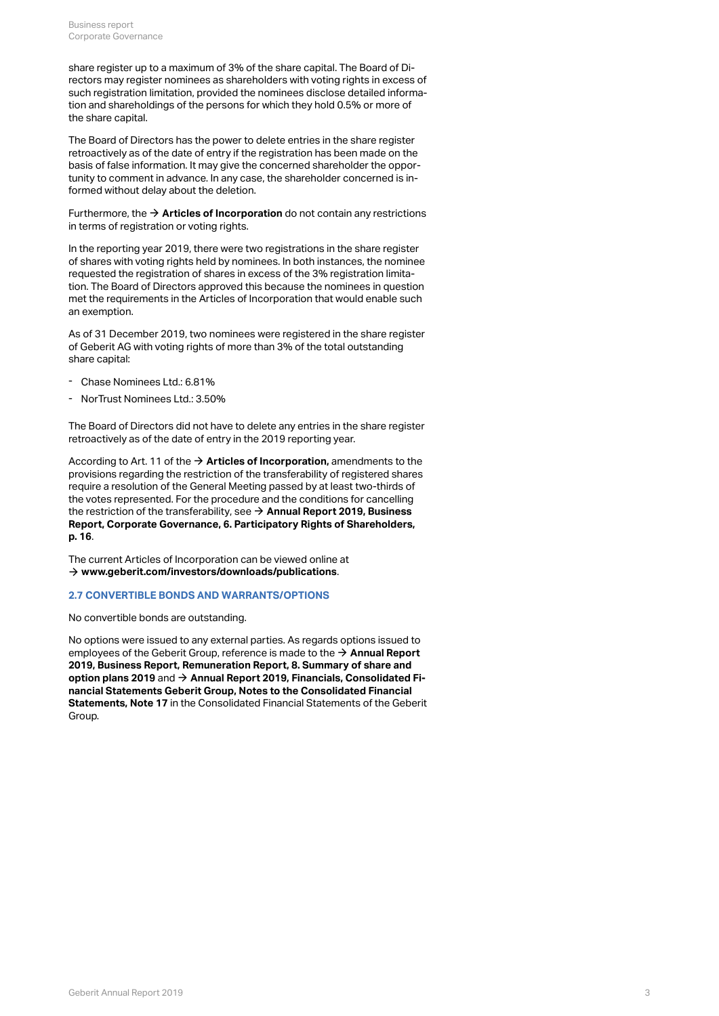share register up to a maximum of 3% of the share capital. The Board of Directors may register nominees as shareholders with voting rights in excess of such registration limitation, provided the nominees disclose detailed information and shareholdings of the persons for which they hold 0.5% or more of the share capital.

The Board of Directors has the power to delete entries in the share register retroactively as of the date of entry if the registration has been made on the basis of false information. It may give the concerned shareholder the opportunity to comment in advance. In any case, the shareholder concerned is informed without delay about the deletion.

Furthermore, the  $\rightarrow$  **[Articles of Incorporation](https://annualreport.geberit.com/geberit/annual/2019/gb/layout/../English/pdf/articles_of_incorporation_geberit_ag.pdf)** do not contain any restrictions in terms of registration or voting rights.

In the reporting year 2019, there were two registrations in the share register of shares with voting rights held by nominees. In both instances, the nominee requested the registration of shares in excess of the 3% registration limitation. The Board of Directors approved this because the nominees in question met the requirements in the Articles of Incorporation that would enable such an exemption.

As of 31 December 2019, two nominees were registered in the share register of Geberit AG with voting rights of more than 3% of the total outstanding share capital:

- Chase Nominees Ltd.: 6.81%
- NorTrust Nominees Ltd.: 3.50%

The Board of Directors did not have to delete any entries in the share register retroactively as of the date of entry in the 2019 reporting year.

According to Art. 11 of the  $\rightarrow$  [Articles of Incorporation,](https://annualreport.geberit.com/geberit/annual/2019/gb/layout/../English/pdf/articles_of_incorporation_geberit_ag.pdf) amendments to the provisions regarding the restriction of the transferability of registered shares require a resolution of the General Meeting passed by at least two-thirds of the votes represented. For the procedure and the conditions for cancelling the restriction of the transferability, see **[Annual Report 2019, Business](#page-15-0)**  [\\$](#page-15-0) **[Report, Corporate Governance, 6. Participatory Rights of Shareholders,](#page-15-0)  [p. 16](#page-15-0)** .

The current Articles of Incorporation can be viewed online at  $\rightarrow$  [www.geberit.com/investors/downloads/publications](https://www.geberit.com/investors/downloads/publications/).

## **2.7 CONVERTIBLE BONDS AND WARRANTS/OPTIONS**

No convertible bonds are outstanding.

No options were issued to any external parties. As regards options issued to employees of the Geberit Group, reference is made to the → Annual Report **[2019, Business Report, Remuneration Report, 8. Summary of share and](http://annualreport.geberit.com/reports/geberit/annual/2019/gb/English/107080/8_-summary-of-share-and-option-plans_nbsp_2019.html)  [option plans 2019](http://annualreport.geberit.com/reports/geberit/annual/2019/gb/English/107080/8_-summary-of-share-and-option-plans_nbsp_2019.html)** and → [Annual Report 2019, Financials, Consolidated Fi](http://annualreport.geberit.com/reports/geberit/annual/2019/gb/English/20405017/17_-participation-plans.html)**[nancial Statements Geberit Group, Notes to the Consolidated Financial](http://annualreport.geberit.com/reports/geberit/annual/2019/gb/English/20405017/17_-participation-plans.html)**  [Statements, Note 17](http://annualreport.geberit.com/reports/geberit/annual/2019/gb/English/20405017/17_-participation-plans.html) in the Consolidated Financial Statements of the Geberit Group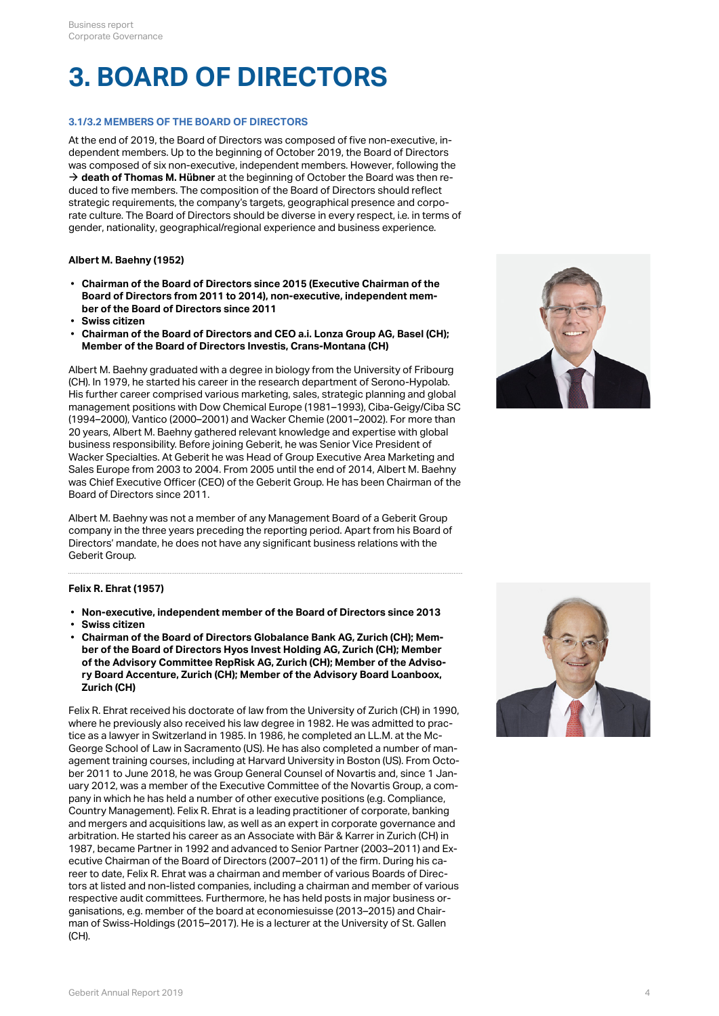## **3. BOARD OF DIRECTORS**

## **3.1/3.2 MEMBERS OF THE BOARD OF DIRECTORS**

At the end of 2019, the Board of Directors was composed of five non-executive, independent members. Up to the beginning of October 2019, the Board of Directors was composed of six non-executive, independent members. However, following the  $\rightarrow$  [death of Thomas M. Hübner](#page-5-0) at the beginning of October the Board was then reduced to five members. The composition of the Board of Directors should reflect strategic requirements, the company's targets, geographical presence and corporate culture. The Board of Directors should be diverse in every respect, i.e. in terms of gender, nationality, geographical/regional experience and business experience.

## **Albert M. Baehny (1952)**

- **Chairman of the Board of Directors since 2015 (Executive Chairman of the Board of Directors from 2011 to 2014), non-executive, independent member of the Board of Directors since 2011**
- **Swiss citizen**
- **Chairman of the Board of Directors and CEO a.i. Lonza Group AG, Basel (CH); Member of the Board of Directors Investis, Crans-Montana (CH)**

Albert M. Baehny graduated with a degree in biology from the University of Fribourg (CH). In 1979, he started his career in the research department of Serono-Hypolab. His further career comprised various marketing, sales, strategic planning and global management positions with Dow Chemical Europe (1981–1993), Ciba-Geigy/Ciba SC (1994–2000), Vantico (2000–2001) and Wacker Chemie (2001–2002). For more than 20 years, Albert M. Baehny gathered relevant knowledge and expertise with global business responsibility. Before joining Geberit, he was Senior Vice President of Wacker Specialties. At Geberit he was Head of Group Executive Area Marketing and Sales Europe from 2003 to 2004. From 2005 until the end of 2014, Albert M. Baehny was Chief Executive Officer (CEO) of the Geberit Group. He has been Chairman of the Board of Directors since 2011.

Albert M. Baehny was not a member of any Management Board of a Geberit Group company in the three years preceding the reporting period. Apart from his Board of Directors' mandate, he does not have any significant business relations with the Geberit Group.

## **Felix R. Ehrat (1957)**

- **Non-executive, independent member of the Board of Directors since 2013**
- **Swiss citizen**
- **Chairman of the Board of Directors Globalance Bank AG, Zurich (CH); Member of the Board of Directors Hyos Invest Holding AG, Zurich (CH); Member of the Advisory Committee RepRisk AG, Zurich (CH); Member of the Advisory Board Accenture, Zurich (CH); Member of the Advisory Board Loanboox, Zurich (CH)**

Felix R. Ehrat received his doctorate of law from the University of Zurich (CH) in 1990, where he previously also received his law degree in 1982. He was admitted to practice as a lawyer in Switzerland in 1985. In 1986, he completed an LL.M. at the Mc-George School of Law in Sacramento (US). He has also completed a number of management training courses, including at Harvard University in Boston (US). From October 2011 to June 2018, he was Group General Counsel of Novartis and, since 1 January 2012, was a member of the Executive Committee of the Novartis Group, a company in which he has held a number of other executive positions (e.g. Compliance, Country Management). Felix R. Ehrat is a leading practitioner of corporate, banking and mergers and acquisitions law, as well as an expert in corporate governance and arbitration. He started his career as an Associate with Bär & Karrer in Zurich (CH) in 1987, became Partner in 1992 and advanced to Senior Partner (2003–2011) and Executive Chairman of the Board of Directors (2007–2011) of the firm. During his career to date, Felix R. Ehrat was a chairman and member of various Boards of Directors at listed and non-listed companies, including a chairman and member of various respective audit committees. Furthermore, he has held posts in major business organisations, e.g. member of the board at economiesuisse (2013–2015) and Chairman of Swiss-Holdings (2015–2017). He is a lecturer at the University of St. Gallen (CH).



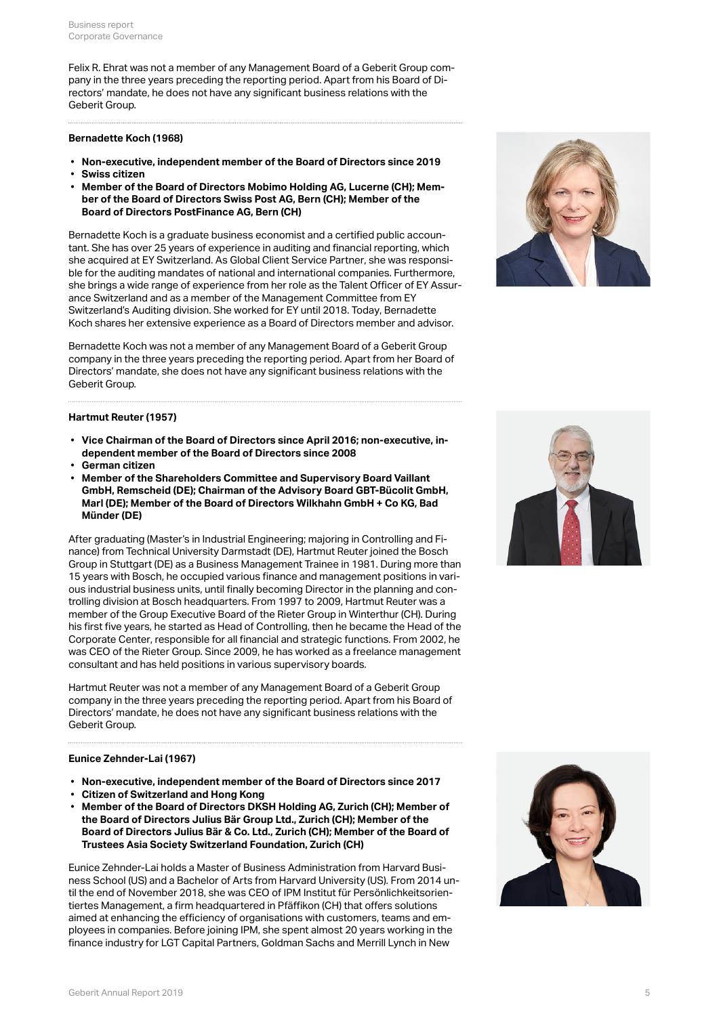Felix R. Ehrat was not a member of any Management Board of a Geberit Group company in the three years preceding the reporting period. Apart from his Board of Directors' mandate, he does not have any significant business relations with the Geberit Group.

#### **Bernadette Koch (1968)**

- **Non-executive, independent member of the Board of Directors since 2019**
- **Swiss citizen**
- **Member of the Board of Directors Mobimo Holding AG, Lucerne (CH); Member of the Board of Directors Swiss Post AG, Bern (CH); Member of the Board of Directors PostFinance AG, Bern (CH)**

Bernadette Koch is a graduate business economist and a certified public accountant. She has over 25 years of experience in auditing and financial reporting, which she acquired at EY Switzerland. As Global Client Service Partner, she was responsible for the auditing mandates of national and international companies. Furthermore, she brings a wide range of experience from her role as the Talent Officer of EY Assurance Switzerland and as a member of the Management Committee from EY Switzerland's Auditing division. She worked for EY until 2018. Today, Bernadette Koch shares her extensive experience as a Board of Directors member and advisor.

Bernadette Koch was not a member of any Management Board of a Geberit Group company in the three years preceding the reporting period. Apart from her Board of Directors' mandate, she does not have any significant business relations with the Geberit Group.

### **Hartmut Reuter (1957)**

- **Vice Chairman of the Board of Directors since April 2016; non-executive, independent member of the Board of Directors since 2008**
- **German citizen**
- **Member of the Shareholders Committee and Supervisory Board Vaillant GmbH, Remscheid (DE); Chairman of the Advisory Board GBT-Bücolit GmbH, Marl (DE); Member of the Board of Directors Wilkhahn GmbH + Co KG, Bad Münder (DE)**

After graduating (Master's in Industrial Engineering; majoring in Controlling and Finance) from Technical University Darmstadt (DE), Hartmut Reuter joined the Bosch Group in Stuttgart (DE) as a Business Management Trainee in 1981. During more than 15 years with Bosch, he occupied various finance and management positions in various industrial business units, until finally becoming Director in the planning and controlling division at Bosch headquarters. From 1997 to 2009, Hartmut Reuter was a member of the Group Executive Board of the Rieter Group in Winterthur (CH). During his first five years, he started as Head of Controlling, then he became the Head of the Corporate Center, responsible for all financial and strategic functions. From 2002, he was CEO of the Rieter Group. Since 2009, he has worked as a freelance management consultant and has held positions in various supervisory boards.

Hartmut Reuter was not a member of any Management Board of a Geberit Group company in the three years preceding the reporting period. Apart from his Board of Directors' mandate, he does not have any significant business relations with the Geberit Group.

## **Eunice Zehnder-Lai (1967)**

- **Non-executive, independent member of the Board of Directors since 2017**
- **Citizen of Switzerland and Hong Kong**
- **Member of the Board of Directors DKSH Holding AG, Zurich (CH); Member of the Board of Directors Julius Bär Group Ltd., Zurich (CH); Member of the Board of Directors Julius Bär & Co. Ltd., Zurich (CH); Member of the Board of Trustees Asia Society Switzerland Foundation, Zurich (CH)**

Eunice Zehnder-Lai holds a Master of Business Administration from Harvard Business School (US) and a Bachelor of Arts from Harvard University (US). From 2014 until the end of November 2018, she was CEO of IPM Institut für Persönlichkeitsorientiertes Management, a firm headquartered in Pfäffikon (CH) that offers solutions aimed at enhancing the efficiency of organisations with customers, teams and employees in companies. Before joining IPM, she spent almost 20 years working in the finance industry for LGT Capital Partners, Goldman Sachs and Merrill Lynch in New





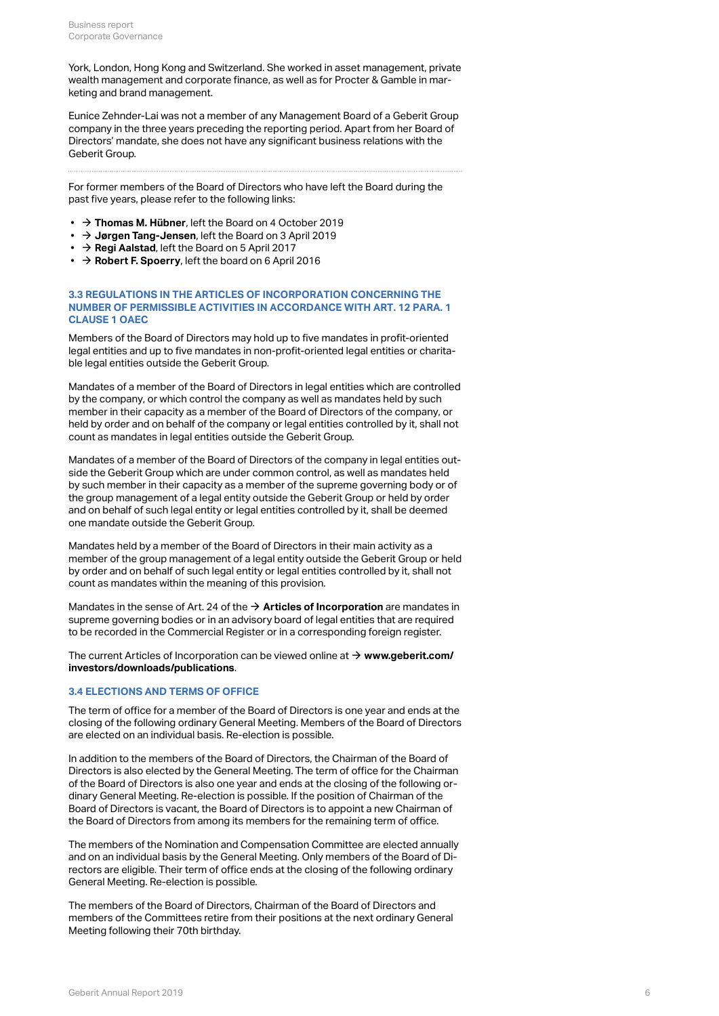York, London, Hong Kong and Switzerland. She worked in asset management, private wealth management and corporate finance, as well as for Procter & Gamble in marketing and brand management.

Eunice Zehnder-Lai was not a member of any Management Board of a Geberit Group company in the three years preceding the reporting period. Apart from her Board of Directors' mandate, she does not have any significant business relations with the Geberit Group.

For former members of the Board of Directors who have left the Board during the past five years, please refer to the following links:

- → [Thomas M. Hübner](https://geschaeftsbericht.geberit.com/reports/geberit/annual/2018/gb/English/106030/3_-board-of-directors.html#ThomasHuebner), left the Board on 4 October 2019
- **→ [Jørgen Tang-Jensen](https://geschaeftsbericht.geberit.com/reports/geberit/annual/2018/gb/English/106030/3_-board-of-directors.html#TangJensen)**, left the Board on 3 April 2019
- → [Regi Aalstad](https://annualreport.geberit.com/reports/geberit/annual/2016/gb/English/106030/3_-board-of-directors.html#RegiAalstad), left the Board on 5 April 2017
- [\\$](https://geschaeftsbericht.geberit.com/reports/geberit/annual/2015/gb/English/106030/3_-board-of-directors.html#RobertFSpoerry) **[Robert F. Spoerry](https://geschaeftsbericht.geberit.com/reports/geberit/annual/2015/gb/English/106030/3_-board-of-directors.html#RobertFSpoerry)**, left the board on 6 April 2016

## **3.3 REGULATIONS IN THE ARTICLES OF INCORPORATION CONCERNING THE NUMBER OF PERMISSIBLE ACTIVITIES IN ACCORDANCE WITH ART. 12 PARA. 1 CLAUSE 1 OAEC**

Members of the Board of Directors may hold up to five mandates in profit-oriented legal entities and up to five mandates in non-profit-oriented legal entities or charitable legal entities outside the Geberit Group.

Mandates of a member of the Board of Directors in legal entities which are controlled by the company, or which control the company as well as mandates held by such member in their capacity as a member of the Board of Directors of the company, or held by order and on behalf of the company or legal entities controlled by it, shall not count as mandates in legal entities outside the Geberit Group.

Mandates of a member of the Board of Directors of the company in legal entities outside the Geberit Group which are under common control, as well as mandates held by such member in their capacity as a member of the supreme governing body or of the group management of a legal entity outside the Geberit Group or held by order and on behalf of such legal entity or legal entities controlled by it, shall be deemed one mandate outside the Geberit Group.

Mandates held by a member of the Board of Directors in their main activity as a member of the group management of a legal entity outside the Geberit Group or held by order and on behalf of such legal entity or legal entities controlled by it, shall not count as mandates within the meaning of this provision.

Mandates in the sense of Art. 24 of the  $\rightarrow$  [Articles of Incorporation](https://annualreport.geberit.com/geberit/annual/2019/gb/layout/../English/pdf/articles_of_incorporation_geberit_ag.pdf) are mandates in supreme governing bodies or in an advisory board of legal entities that are required to be recorded in the Commercial Register or in a corresponding foreign register.

The current Articles of Incorporation can be viewed online at → [www.geberit.com/](https://www.geberit.com/investors/downloads/publications/) **[investors/downloads/publications](https://www.geberit.com/investors/downloads/publications/)** .

## <span id="page-5-0"></span>**3.4 ELECTIONS AND TERMS OF OFFICE**

The term of office for a member of the Board of Directors is one year and ends at the closing of the following ordinary General Meeting. Members of the Board of Directors are elected on an individual basis. Re-election is possible.

In addition to the members of the Board of Directors, the Chairman of the Board of Directors is also elected by the General Meeting. The term of office for the Chairman of the Board of Directors is also one year and ends at the closing of the following ordinary General Meeting. Re-election is possible. If the position of Chairman of the Board of Directors is vacant, the Board of Directors is to appoint a new Chairman of the Board of Directors from among its members for the remaining term of office.

The members of the Nomination and Compensation Committee are elected annually and on an individual basis by the General Meeting. Only members of the Board of Directors are eligible. Their term of office ends at the closing of the following ordinary General Meeting. Re-election is possible.

The members of the Board of Directors, Chairman of the Board of Directors and members of the Committees retire from their positions at the next ordinary General Meeting following their 70th birthday.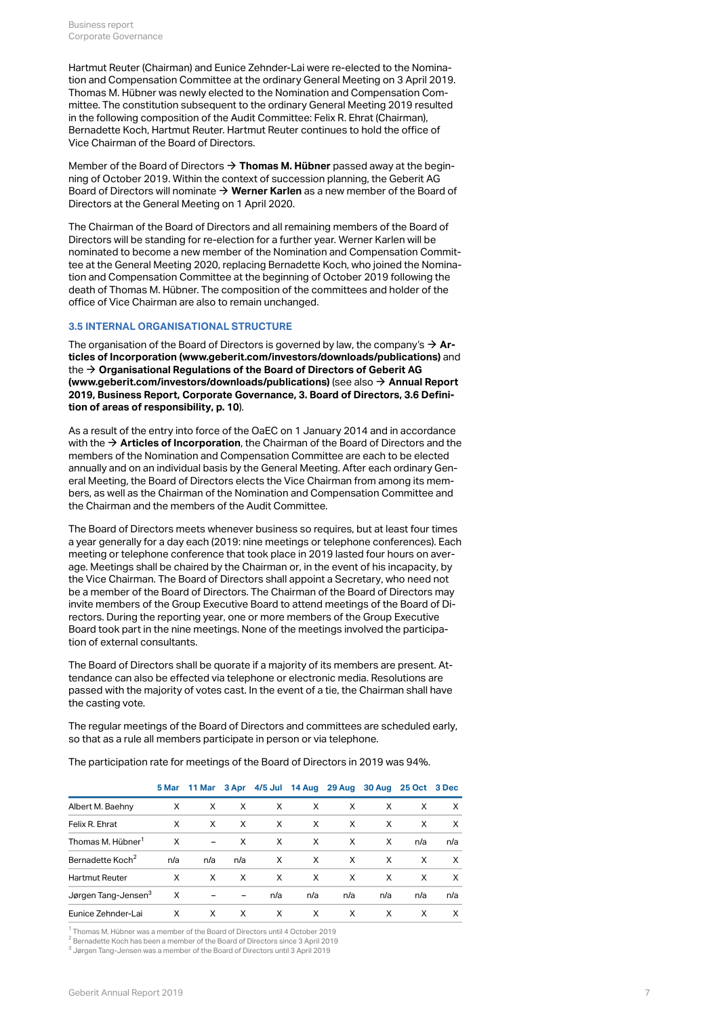Hartmut Reuter (Chairman) and Eunice Zehnder-Lai were re-elected to the Nomination and Compensation Committee at the ordinary General Meeting on 3 April 2019. Thomas M. Hübner was newly elected to the Nomination and Compensation Committee. The constitution subsequent to the ordinary General Meeting 2019 resulted in the following composition of the Audit Committee: Felix R. Ehrat (Chairman), Bernadette Koch, Hartmut Reuter. Hartmut Reuter continues to hold the office of Vice Chairman of the Board of Directors.

Member of the Board of Directors  $\rightarrow$  [Thomas M. Hübner](https://geschaeftsbericht.geberit.com/reports/geberit/annual/2018/gb/English/106030/3_-board-of-directors.html#ThomasHuebner) passed away at the beginning of October 2019. Within the context of succession planning, the Geberit AG Board of Directors will nominate  $\rightarrow$  [Werner Karlen](https://www.geberit.com/company/management-structure/board-of-directors/werner-karlen.html) as a new member of the Board of Directors at the General Meeting on 1 April 2020.

The Chairman of the Board of Directors and all remaining members of the Board of Directors will be standing for re-election for a further year. Werner Karlen will be nominated to become a new member of the Nomination and Compensation Committee at the General Meeting 2020, replacing Bernadette Koch, who joined the Nomination and Compensation Committee at the beginning of October 2019 following the death of Thomas M. Hübner. The composition of the committees and holder of the office of Vice Chairman are also to remain unchanged.

### **3.5 INTERNAL ORGANISATIONAL STRUCTURE**

The organisation of the Board of Directors is governed by law, the company's **[Ar-](http://annualreport.geberit.com/geberit/annual/2019/gb/layout/../English/pdf/articles_of_incorporation_geberit_ag.pdf)**[\\$](http://annualreport.geberit.com/geberit/annual/2019/gb/layout/../English/pdf/articles_of_incorporation_geberit_ag.pdf) **[ticles of Incorporation \(www.geberit.com/investors/downloads/publications\)](http://annualreport.geberit.com/geberit/annual/2019/gb/layout/../English/pdf/articles_of_incorporation_geberit_ag.pdf)** and the → Organisational Regulations of the Board of Directors of Geberit AG **[\(www.geberit.com/investors/downloads/publications\)](https://annualreport.geberit.com/geberit/annual/2019/gb/layout/../English/pdf/organizational_regulations_BoD.pdf)** (see also **[Annual Report](#page-9-0)**  [\\$](#page-9-0) **[2019, Business Report, Corporate Governance, 3. Board of Directors, 3.6 Defini](#page-9-0)[tion of areas of responsibility, p. 10](#page-9-0)** ).

As a result of the entry into force of the OaEC on 1 January 2014 and in accordance with the  $\rightarrow$  **[Articles of Incorporation](https://annualreport.geberit.com/geberit/annual/2019/gb/layout/../English/pdf/articles_of_incorporation_geberit_ag.pdf)**, the Chairman of the Board of Directors and the members of the Nomination and Compensation Committee are each to be elected annually and on an individual basis by the General Meeting. After each ordinary General Meeting, the Board of Directors elects the Vice Chairman from among its members, as well as the Chairman of the Nomination and Compensation Committee and the Chairman and the members of the Audit Committee.

The Board of Directors meets whenever business so requires, but at least four times a year generally for a day each (2019: nine meetings or telephone conferences). Each meeting or telephone conference that took place in 2019 lasted four hours on average. Meetings shall be chaired by the Chairman or, in the event of his incapacity, by the Vice Chairman. The Board of Directors shall appoint a Secretary, who need not be a member of the Board of Directors. The Chairman of the Board of Directors may invite members of the Group Executive Board to attend meetings of the Board of Directors. During the reporting year, one or more members of the Group Executive Board took part in the nine meetings. None of the meetings involved the participation of external consultants.

The Board of Directors shall be quorate if a majority of its members are present. Attendance can also be effected via telephone or electronic media. Resolutions are passed with the majority of votes cast. In the event of a tie, the Chairman shall have the casting vote.

The regular meetings of the Board of Directors and committees are scheduled early, so that as a rule all members participate in person or via telephone.

The participation rate for meetings of the Board of Directors in 2019 was 94%.

|                                 |     |                          |     |     |     | 5 Mar 11 Mar 3 Apr 4/5 Jul 14 Aug 29 Aug 30 Aug 25 Oct 3 Dec |     |     |          |
|---------------------------------|-----|--------------------------|-----|-----|-----|--------------------------------------------------------------|-----|-----|----------|
| Albert M. Baehny                | X   | X                        | X   | X   | X   | X                                                            | X   | X   | X        |
| Felix R. Ehrat                  | X   | X                        | X   | X   | X   | X                                                            | X   | X   | X        |
| Thomas M. Hübner <sup>1</sup>   | X   | $\overline{\phantom{m}}$ | X   | X   | X   | X                                                            | X   | n/a | n/a      |
| Bernadette Koch <sup>2</sup>    | n/a | n/a                      | n/a | X   | X   | X                                                            | X   | X   | $\times$ |
| <b>Hartmut Reuter</b>           | X   | X                        | X   | X   | X   | X                                                            | X   | X   | $\times$ |
| Jørgen Tang-Jensen <sup>3</sup> | X   |                          |     | n/a | n/a | n/a                                                          | n/a | n/a | n/a      |
| Eunice Zehnder-Lai              | X   | X                        | X   | X   | X   | X                                                            | X   | X   | X        |

<sup>1</sup> Thomas M. Hübner was a member of the Board of Directors until 4 October 2019

 $^2$  Bernadette Koch has been a member of the Board of Directors since 3 April 2019

 $^3$  Jørgen Tang-Jensen was a member of the Board of Directors until 3 April 2019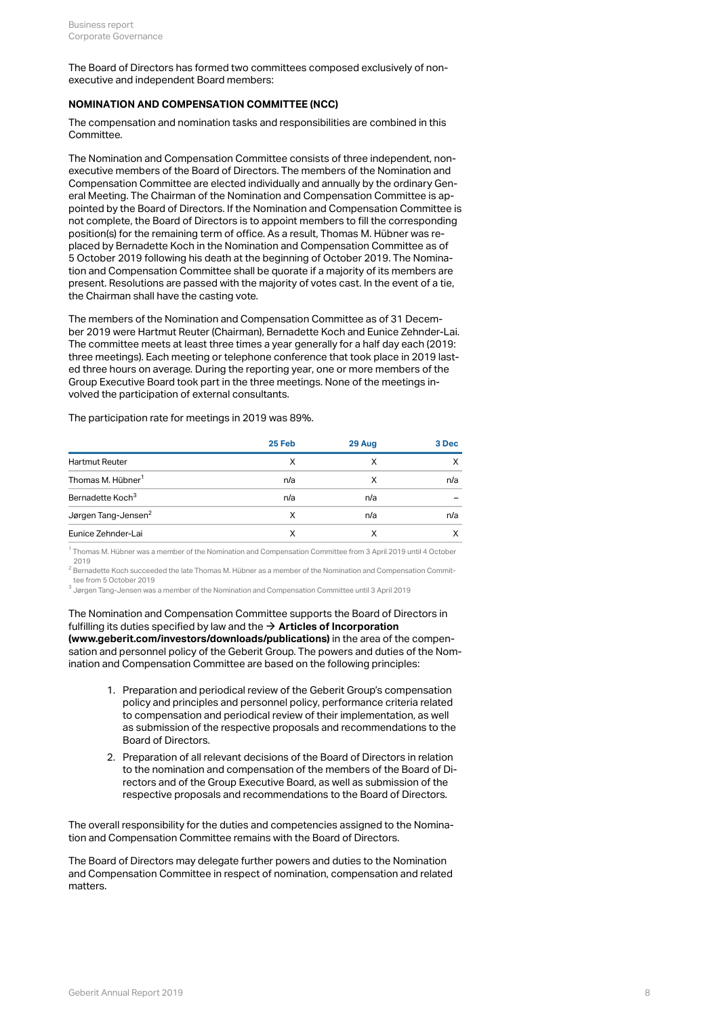The Board of Directors has formed two committees composed exclusively of nonexecutive and independent Board members:

## **NOMINATION AND COMPENSATION COMMITTEE (NCC)**

The compensation and nomination tasks and responsibilities are combined in this Committee.

The Nomination and Compensation Committee consists of three independent, nonexecutive members of the Board of Directors. The members of the Nomination and Compensation Committee are elected individually and annually by the ordinary General Meeting. The Chairman of the Nomination and Compensation Committee is appointed by the Board of Directors. If the Nomination and Compensation Committee is not complete, the Board of Directors is to appoint members to fill the corresponding position(s) for the remaining term of office. As a result, Thomas M. Hübner was replaced by Bernadette Koch in the Nomination and Compensation Committee as of 5 October 2019 following his death at the beginning of October 2019. The Nomination and Compensation Committee shall be quorate if a majority of its members are present. Resolutions are passed with the majority of votes cast. In the event of a tie, the Chairman shall have the casting vote.

The members of the Nomination and Compensation Committee as of 31 December 2019 were Hartmut Reuter (Chairman), Bernadette Koch and Eunice Zehnder-Lai. The committee meets at least three times a year generally for a half day each (2019: three meetings). Each meeting or telephone conference that took place in 2019 lasted three hours on average. During the reporting year, one or more members of the Group Executive Board took part in the three meetings. None of the meetings involved the participation of external consultants.

The participation rate for meetings in 2019 was 89%.

|                                 | 25 Feb | 29 Aug | 3 Dec |
|---------------------------------|--------|--------|-------|
| <b>Hartmut Reuter</b>           | Χ      | X      |       |
| Thomas M. Hübner <sup>1</sup>   | n/a    | X      | n/a   |
| Bernadette Koch <sup>3</sup>    | n/a    | n/a    |       |
| Jørgen Tang-Jensen <sup>2</sup> | X      | n/a    | n/a   |
| Eunice Zehnder-Lai              | х      | x      |       |

 $^{\rm 1}$  Thomas M. Hübner was a member of the Nomination and Compensation Committee from 3 April 2019 until 4 October 2019

 $^2$  Bernadette Koch succeeded the late Thomas M. Hübner as a member of the Nomination and Compensation Committee from 5 October 2019

 $^3$  Jørgen Tang-Jensen was a member of the Nomination and Compensation Committee until 3 April 2019

The Nomination and Compensation Committee supports the Board of Directors in fulfilling its duties specified by law and the  $\rightarrow$  [Articles of Incorporation](https://annualreport.geberit.com/geberit/annual/2019/gb/layout/../English/pdf/articles_of_incorporation_geberit_ag.pdf) **[\(www.geberit.com/investors/downloads/publications\)](https://annualreport.geberit.com/geberit/annual/2019/gb/layout/../English/pdf/articles_of_incorporation_geberit_ag.pdf)** in the area of the compensation and personnel policy of the Geberit Group. The powers and duties of the Nomination and Compensation Committee are based on the following principles:

- 1. Preparation and periodical review of the Geberit Group's compensation policy and principles and personnel policy, performance criteria related to compensation and periodical review of their implementation, as well as submission of the respective proposals and recommendations to the Board of Directors.
- 2. Preparation of all relevant decisions of the Board of Directors in relation to the nomination and compensation of the members of the Board of Directors and of the Group Executive Board, as well as submission of the respective proposals and recommendations to the Board of Directors.

The overall responsibility for the duties and competencies assigned to the Nomination and Compensation Committee remains with the Board of Directors.

The Board of Directors may delegate further powers and duties to the Nomination and Compensation Committee in respect of nomination, compensation and related matters.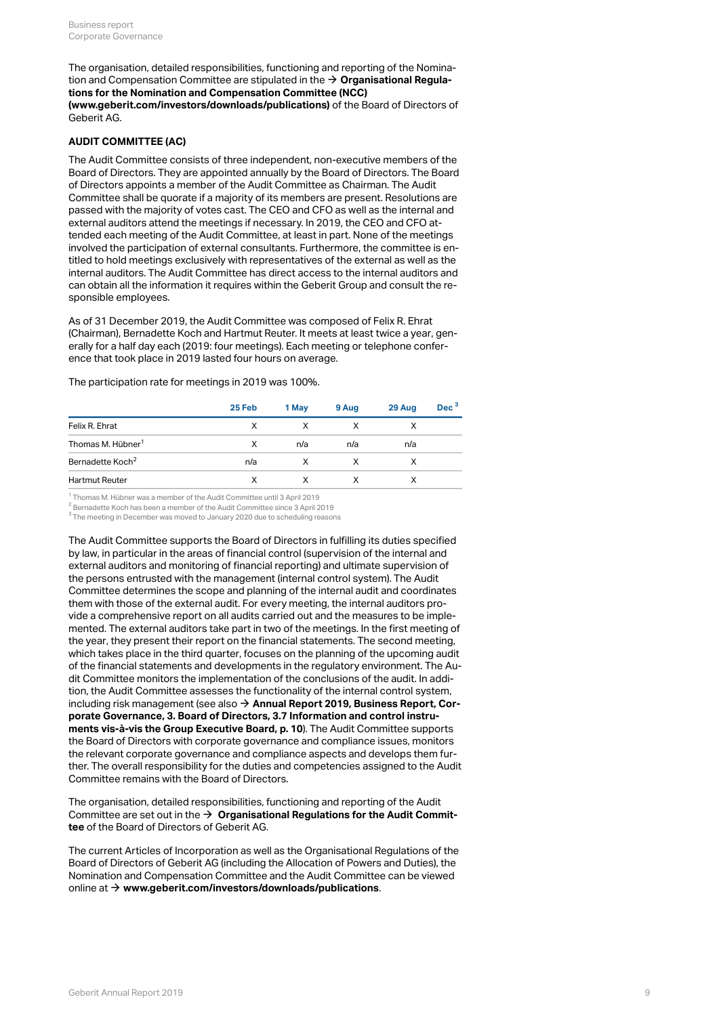The organisation, detailed responsibilities, functioning and reporting of the Nomination and Compensation Committee are stipulated in the  $\rightarrow$  **[Organisational Regula](https://annualreport.geberit.com/geberit/annual/2019/gb/layout/../English/pdf/organizational_regulations_NCC.pdf)[tions for the Nomination and Compensation Committee \(NCC\)](https://annualreport.geberit.com/geberit/annual/2019/gb/layout/../English/pdf/organizational_regulations_NCC.pdf) [\(www.geberit.com/investors/downloads/publications\)](https://annualreport.geberit.com/geberit/annual/2019/gb/layout/../English/pdf/organizational_regulations_NCC.pdf)** of the Board of Directors of Geberit AG.

## <span id="page-8-0"></span>**AUDIT COMMITTEE (AC)**

The Audit Committee consists of three independent, non-executive members of the Board of Directors. They are appointed annually by the Board of Directors. The Board of Directors appoints a member of the Audit Committee as Chairman. The Audit Committee shall be quorate if a majority of its members are present. Resolutions are passed with the majority of votes cast. The CEO and CFO as well as the internal and external auditors attend the meetings if necessary. In 2019, the CEO and CFO attended each meeting of the Audit Committee, at least in part. None of the meetings involved the participation of external consultants. Furthermore, the committee is entitled to hold meetings exclusively with representatives of the external as well as the internal auditors. The Audit Committee has direct access to the internal auditors and can obtain all the information it requires within the Geberit Group and consult the responsible employees.

As of 31 December 2019, the Audit Committee was composed of Felix R. Ehrat (Chairman), Bernadette Koch and Hartmut Reuter. It meets at least twice a year, generally for a half day each (2019: four meetings). Each meeting or telephone conference that took place in 2019 lasted four hours on average.

The participation rate for meetings in 2019 was 100%.

|                               | 25 Feb | 1 May | 9 Aug | 29 Aug | Dec <sup>3</sup> |
|-------------------------------|--------|-------|-------|--------|------------------|
| Felix R. Ehrat                |        |       |       |        |                  |
| Thomas M. Hübner <sup>1</sup> | X      | n/a   | n/a   | n/a    |                  |
| Bernadette Koch <sup>2</sup>  | n/a    |       |       |        |                  |
| <b>Hartmut Reuter</b>         |        |       |       |        |                  |

<sup>1</sup> Thomas M. Hübner was a member of the Audit Committee until 3 April 2019

 $^2$  Bernadette Koch has been a member of the Audit Committee since 3 April 2019

 $^3$  The meeting in December was moved to January 2020 due to scheduling reasons

The Audit Committee supports the Board of Directors in fulfilling its duties specified by law, in particular in the areas of financial control (supervision of the internal and external auditors and monitoring of financial reporting) and ultimate supervision of the persons entrusted with the management (internal control system). The Audit Committee determines the scope and planning of the internal audit and coordinates them with those of the external audit. For every meeting, the internal auditors provide a comprehensive report on all audits carried out and the measures to be implemented. The external auditors take part in two of the meetings. In the first meeting of the year, they present their report on the financial statements. The second meeting, which takes place in the third quarter, focuses on the planning of the upcoming audit of the financial statements and developments in the regulatory environment. The Audit Committee monitors the implementation of the conclusions of the audit. In addition, the Audit Committee assesses the functionality of the internal control system, including risk management (see also **[Annual Report 2019, Business Report, Cor-](#page-9-1)**[\\$](#page-9-1) **[porate Governance, 3. Board of Directors, 3.7 Information and control instru](#page-9-1)[ments vis-à-vis the Group Executive Board, p. 10](#page-9-1)** ). The Audit Committee supports the Board of Directors with corporate governance and compliance issues, monitors the relevant corporate governance and compliance aspects and develops them further. The overall responsibility for the duties and competencies assigned to the Audit Committee remains with the Board of Directors.

The organisation, detailed responsibilities, functioning and reporting of the Audit Committee are set out in the  $\rightarrow$  [Organisational Regulations for the Audit Commit](https://annualreport.geberit.com/geberit/annual/2019/gb/layout/../English/pdf/organizational_regulations_BoD.pdf)**[tee](https://annualreport.geberit.com/geberit/annual/2019/gb/layout/../English/pdf/organizational_regulations_BoD.pdf)**  of the Board of Directors of Geberit AG.

The current Articles of Incorporation as well as the Organisational Regulations of the Board of Directors of Geberit AG (including the Allocation of Powers and Duties), the Nomination and Compensation Committee and the Audit Committee can be viewed online at  $\rightarrow$  [www.geberit.com/investors/downloads/publications](https://www.geberit.com/investors/downloads/publications/).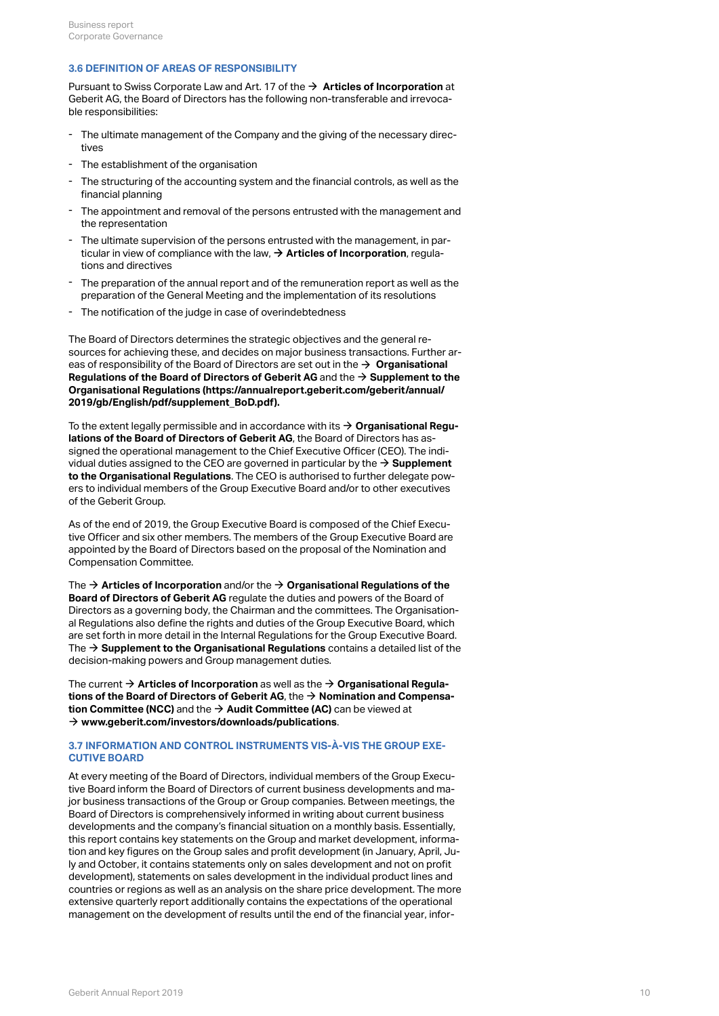### <span id="page-9-0"></span>**3.6 DEFINITION OF AREAS OF RESPONSIBILITY**

Pursuant to Swiss Corporate Law and Art. 17 of the  $\rightarrow$  [Articles of Incorporation](https://annualreport.geberit.com/geberit/annual/2019/gb/layout/../English/pdf/articles_of_incorporation_geberit_ag.pdf) at Geberit AG, the Board of Directors has the following non-transferable and irrevocable responsibilities:

- The ultimate management of the Company and the giving of the necessary directives -
- The establishment of the organisation
- The structuring of the accounting system and the financial controls, as well as the financial planning -
- The appointment and removal of the persons entrusted with the management and the representation -
- The ultimate supervision of the persons entrusted with the management, in particular in view of compliance with the law,  $\rightarrow$  [Articles of Incorporation](https://annualreport.geberit.com/geberit/annual/2019/gb/layout/../English/pdf/articles_of_incorporation_geberit_ag.pdf), regulations and directives -
- The preparation of the annual report and of the remuneration report as well as the preparation of the General Meeting and the implementation of its resolutions -
- The notification of the judge in case of overindebtedness

The Board of Directors determines the strategic objectives and the general resources for achieving these, and decides on major business transactions. Further areas of responsibility of the Board of Directors are set out in the  $\rightarrow$  Organisational **[Regulations of the Board of Directors of Geberit AG](https://annualreport.geberit.com/geberit/annual/2019/gb/layout/../English/pdf/organizational_regulations_BoD.pdf)**  and the **[Supplement to the](https://annualreport.geberit.com/geberit/annual/2019/gb/layout/../English/pdf/supplement_BoD.pdf)**  [\\$](https://annualreport.geberit.com/geberit/annual/2019/gb/layout/../English/pdf/supplement_BoD.pdf) **[Organisational Regulations \(https://annualreport.geberit.com/geberit/annual/](https://annualreport.geberit.com/geberit/annual/2019/gb/layout/../English/pdf/supplement_BoD.pdf) [2019/gb/English/pdf/supplement\\_BoD.pdf\).](https://annualreport.geberit.com/geberit/annual/2019/gb/layout/../English/pdf/supplement_BoD.pdf)**

To the extent legally permissible and in accordance with its **[Organisational Regu-](https://annualreport.geberit.com/geberit/annual/2019/gb/layout/../English/pdf/organizational_regulations_BoD.pdf)**[\\$](https://annualreport.geberit.com/geberit/annual/2019/gb/layout/../English/pdf/organizational_regulations_BoD.pdf) **[lations of the Board of Directors of Geberit AG](https://annualreport.geberit.com/geberit/annual/2019/gb/layout/../English/pdf/organizational_regulations_BoD.pdf)** , the Board of Directors has assigned the operational management to the Chief Executive Officer (CEO). The individual duties assigned to the CEO are governed in particular by the  $\rightarrow$  **[Supplement](https://annualreport.geberit.com/geberit/annual/2019/gb/layout/../English/pdf/supplement_BoD.pdf) [to the Organisational Regulations](https://annualreport.geberit.com/geberit/annual/2019/gb/layout/../English/pdf/supplement_BoD.pdf)**. The CEO is authorised to further delegate powers to individual members of the Group Executive Board and/or to other executives of the Geberit Group.

As of the end of 2019, the Group Executive Board is composed of the Chief Executive Officer and six other members. The members of the Group Executive Board are appointed by the Board of Directors based on the proposal of the Nomination and Compensation Committee.

The → [Articles of Incorporation](https://annualreport.geberit.com/geberit/annual/2019/gb/layout/../English/pdf/articles_of_incorporation_geberit_ag.pdf) and/or the → Organisational Regulations of the **[Board of Directors of Geberit AG](https://annualreport.geberit.com/geberit/annual/2019/gb/layout/../English/pdf/organizational_regulations_BoD.pdf)** regulate the duties and powers of the Board of Directors as a governing body, the Chairman and the committees. The Organisational Regulations also define the rights and duties of the Group Executive Board, which are set forth in more detail in the Internal Regulations for the Group Executive Board. The  $\rightarrow$  **[Supplement to the Organisational Regulations](http://annualreport.geberit.com/geberit/annual/2019/gb/layout/../English/pdf/supplement_BoD.pdf)** contains a detailed list of the decision-making powers and Group management duties.

The current [\\$](http://annualreport.geberit.com/geberit/annual/2019/gb/layout/../English/pdf/articles_of_incorporation_geberit_ag.pdf) **[Articles of Incorporation](http://annualreport.geberit.com/geberit/annual/2019/gb/layout/../English/pdf/articles_of_incorporation_geberit_ag.pdf)** as well as the **[Organisational Regula-](http://annualreport.geberit.com/geberit/annual/2019/gb/layout/../English/pdf/organizational_regulations_AC.pdf)**[\\$](http://annualreport.geberit.com/geberit/annual/2019/gb/layout/../English/pdf/organizational_regulations_AC.pdf) **[tions of the Board of Directors of Geberit AG](http://annualreport.geberit.com/geberit/annual/2019/gb/layout/../English/pdf/organizational_regulations_AC.pdf)** , the **[Nomination and Compensa-](http://annualreport.geberit.com/geberit/annual/2019/gb/layout/../English/pdf/organizational_regulations_NCC.pdf)**[\\$](http://annualreport.geberit.com/geberit/annual/2019/gb/layout/../English/pdf/organizational_regulations_NCC.pdf) **[tion Committee \(NCC\)](http://annualreport.geberit.com/geberit/annual/2019/gb/layout/../English/pdf/organizational_regulations_NCC.pdf)** and the → [Audit Committee \(AC\)](http://annualreport.geberit.com/geberit/annual/2019/gb/layout/../English/pdf/organizational_regulations_AC.pdf) can be viewed at  $\rightarrow$  [www.geberit.com/investors/downloads/publications](http://www.geberit.com/investors/downloads/publications/).

## <span id="page-9-1"></span>**3.7 INFORMATION AND CONTROL INSTRUMENTS VIS-À-VIS THE GROUP EXE-CUTIVE BOARD**

At every meeting of the Board of Directors, individual members of the Group Executive Board inform the Board of Directors of current business developments and major business transactions of the Group or Group companies. Between meetings, the Board of Directors is comprehensively informed in writing about current business developments and the company's financial situation on a monthly basis. Essentially, this report contains key statements on the Group and market development, information and key figures on the Group sales and profit development (in January, April, July and October, it contains statements only on sales development and not on profit development), statements on sales development in the individual product lines and countries or regions as well as an analysis on the share price development. The more extensive quarterly report additionally contains the expectations of the operational management on the development of results until the end of the financial year, infor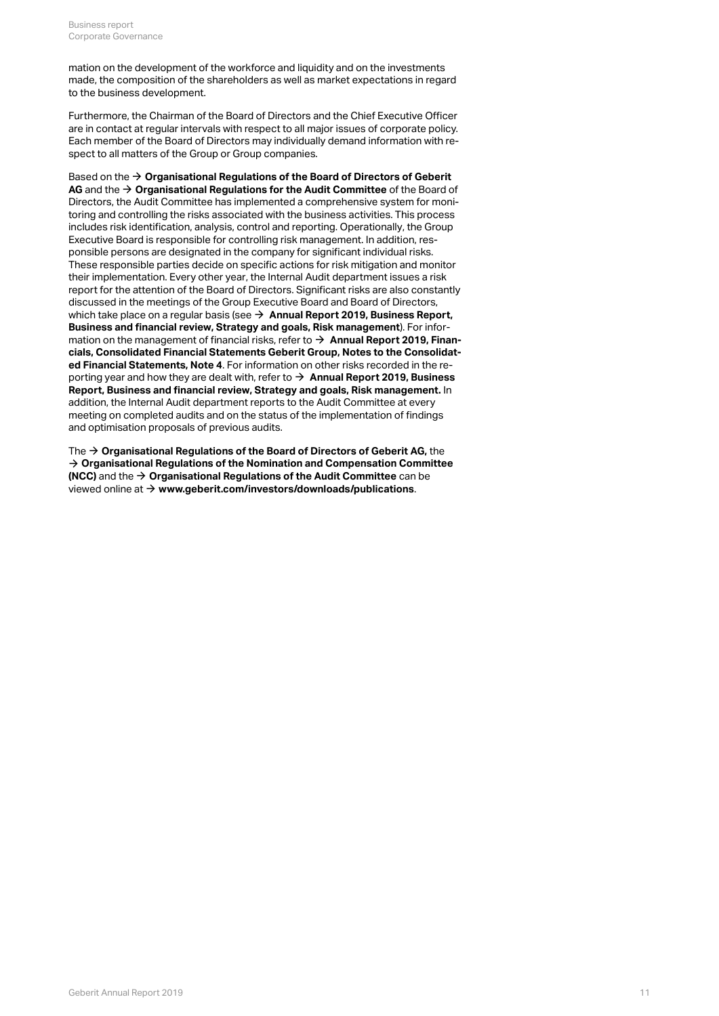mation on the development of the workforce and liquidity and on the investments made, the composition of the shareholders as well as market expectations in regard to the business development.

Furthermore, the Chairman of the Board of Directors and the Chief Executive Officer are in contact at regular intervals with respect to all major issues of corporate policy. Each member of the Board of Directors may individually demand information with respect to all matters of the Group or Group companies.

Based on the **[Organisational Regulations of the Board of Directors of Geberit](http://annualreport.geberit.com/geberit/annual/2019/gb/layout/../English/pdf/organizational_regulations_BoD.pdf)**  [\\$](http://annualreport.geberit.com/geberit/annual/2019/gb/layout/../English/pdf/organizational_regulations_BoD.pdf)  $\overline{\mathsf{AG}}$  and the  $\rightarrow$  **[Organisational Regulations for the Audit Committee](http://annualreport.geberit.com/geberit/annual/2019/gb/layout/../English/pdf/organizational_regulations_AC.pdf)** of the Board of Directors, the Audit Committee has implemented a comprehensive system for monitoring and controlling the risks associated with the business activities. This process includes risk identification, analysis, control and reporting. Operationally, the Group Executive Board is responsible for controlling risk management. In addition, responsible persons are designated in the company for significant individual risks. These responsible parties decide on specific actions for risk mitigation and monitor their implementation. Every other year, the Internal Audit department issues a risk report for the attention of the Board of Directors. Significant risks are also constantly discussed in the meetings of the Group Executive Board and Board of Directors, which take place on a regular basis (see **→ [Annual Report 2019, Business Report,](http://annualreport.geberit.com/reports/geberit/annual/2019/gb/English/10501050/risk-management.html) [Business and financial review, Strategy and goals, Risk management](http://annualreport.geberit.com/reports/geberit/annual/2019/gb/English/10501050/risk-management.html)** ). For information on the management of financial risks, refer to → **Annual Report 2019, Finan[cials, Consolidated Financial Statements Geberit Group, Notes to the Consolidat](http://annualreport.geberit.com/reports/geberit/annual/2019/gb/English/20405004/4_-risk-assessment-and-management.html)[ed Financial Statements, Note 4](http://annualreport.geberit.com/reports/geberit/annual/2019/gb/English/20405004/4_-risk-assessment-and-management.html)** . For information on other risks recorded in the reporting year and how they are dealt with, refer to  $\rightarrow$  **Annual Report 2019, Business [Report, Business and financial review, Strategy and goals, Risk management.](http://annualreport.geberit.com/reports/geberit/annual/2019/gb/English/10501050/risk-management.html)**  In addition, the Internal Audit department reports to the Audit Committee at every meeting on completed audits and on the status of the implementation of findings and optimisation proposals of previous audits.

The  $\rightarrow$  [Organisational Regulations of the Board of Directors of Geberit AG,](http://annualreport.geberit.com/geberit/annual/2019/gb/layout/../English/pdf/organizational_regulations_BoD.pdf) the **[Organisational Regulations of the Nomination and Compensation Committee](http://annualreport.geberit.com/geberit/annual/2019/gb/layout/../English/pdf/organizational_regulations_NCC.pdf)**  [\\$](http://annualreport.geberit.com/geberit/annual/2019/gb/layout/../English/pdf/organizational_regulations_NCC.pdf) **[\(NCC\)](http://annualreport.geberit.com/geberit/annual/2019/gb/layout/../English/pdf/organizational_regulations_NCC.pdf)** and the → [Organisational Regulations of the Audit Committee](http://annualreport.geberit.com/geberit/annual/2019/gb/layout/../English/pdf/organizational_regulations_AC.pdf) can be viewed online at → [www.geberit.com/investors/downloads/publications](http://www.geberit.com/investors/downloads/publications/).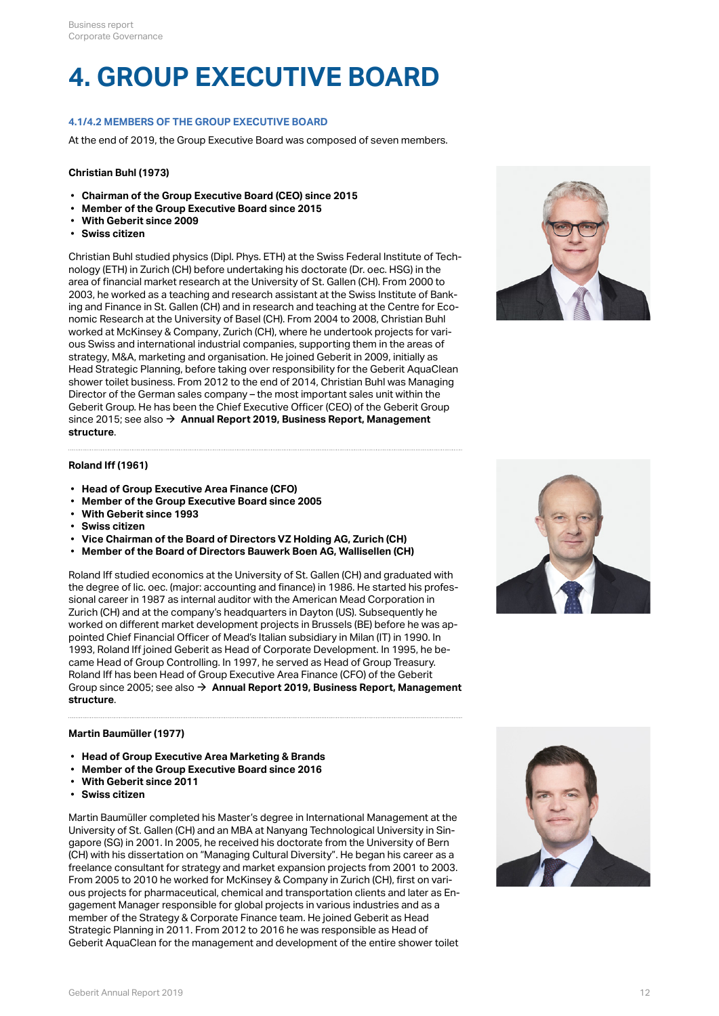## **4. GROUP EXECUTIVE BOARD**

## **4.1/4.2 MEMBERS OF THE GROUP EXECUTIVE BOARD**

At the end of 2019, the Group Executive Board was composed of seven members.

## **Christian Buhl (1973)**

- **Chairman of the Group Executive Board (CEO) since 2015**
- **Member of the Group Executive Board since 2015**
- **With Geberit since 2009**
- **Swiss citizen**

Christian Buhl studied physics (Dipl. Phys. ETH) at the Swiss Federal Institute of Technology (ETH) in Zurich (CH) before undertaking his doctorate (Dr. oec. HSG) in the area of financial market research at the University of St. Gallen (CH). From 2000 to 2003, he worked as a teaching and research assistant at the Swiss Institute of Banking and Finance in St. Gallen (CH) and in research and teaching at the Centre for Economic Research at the University of Basel (CH). From 2004 to 2008, Christian Buhl worked at McKinsey & Company, Zurich (CH), where he undertook projects for various Swiss and international industrial companies, supporting them in the areas of strategy, M&A, marketing and organisation. He joined Geberit in 2009, initially as Head Strategic Planning, before taking over responsibility for the Geberit AquaClean shower toilet business. From 2012 to the end of 2014, Christian Buhl was Managing Director of the German sales company – the most important sales unit within the Geberit Group. He has been the Chief Executive Officer (CEO) of the Geberit Group since 2015; see also → Annual Report 2019, Business Report, Management **[structure](http://annualreport.geberit.com/reports/geberit/annual/2019/gb/English/1040/management-structure.html)** .



### **Roland Iff (1961)**

- **Head of Group Executive Area Finance (CFO)**
- **Member of the Group Executive Board since 2005**
- **With Geberit since 1993**
- **Swiss citizen**
- **Vice Chairman of the Board of Directors VZ Holding AG, Zurich (CH)**
- **Member of the Board of Directors Bauwerk Boen AG, Wallisellen (CH)**

Roland Iff studied economics at the University of St. Gallen (CH) and graduated with the degree of lic. oec. (major: accounting and finance) in 1986. He started his professional career in 1987 as internal auditor with the American Mead Corporation in Zurich (CH) and at the company's headquarters in Dayton (US). Subsequently he worked on different market development projects in Brussels (BE) before he was appointed Chief Financial Officer of Mead's Italian subsidiary in Milan (IT) in 1990. In 1993, Roland Iff joined Geberit as Head of Corporate Development. In 1995, he became Head of Group Controlling. In 1997, he served as Head of Group Treasury. Roland Iff has been Head of Group Executive Area Finance (CFO) of the Geberit Group since 2005; see also  $\rightarrow$  [Annual Report 2019, Business Report, Management](http://annualreport.geberit.com/reports/geberit/annual/2019/gb/English/1040/management-structure.html) **[structure](http://annualreport.geberit.com/reports/geberit/annual/2019/gb/English/1040/management-structure.html)** .

### **Martin Baumüller (1977)**

- **Head of Group Executive Area Marketing & Brands**
- **Member of the Group Executive Board since 2016**
- **With Geberit since 2011**
- **Swiss citizen**

Martin Baumüller completed his Master's degree in International Management at the University of St. Gallen (CH) and an MBA at Nanyang Technological University in Singapore (SG) in 2001. In 2005, he received his doctorate from the University of Bern (CH) with his dissertation on "Managing Cultural Diversity". He began his career as a freelance consultant for strategy and market expansion projects from 2001 to 2003. From 2005 to 2010 he worked for McKinsey & Company in Zurich (CH), first on various projects for pharmaceutical, chemical and transportation clients and later as Engagement Manager responsible for global projects in various industries and as a member of the Strategy & Corporate Finance team. He joined Geberit as Head Strategic Planning in 2011. From 2012 to 2016 he was responsible as Head of Geberit AquaClean for the management and development of the entire shower toilet



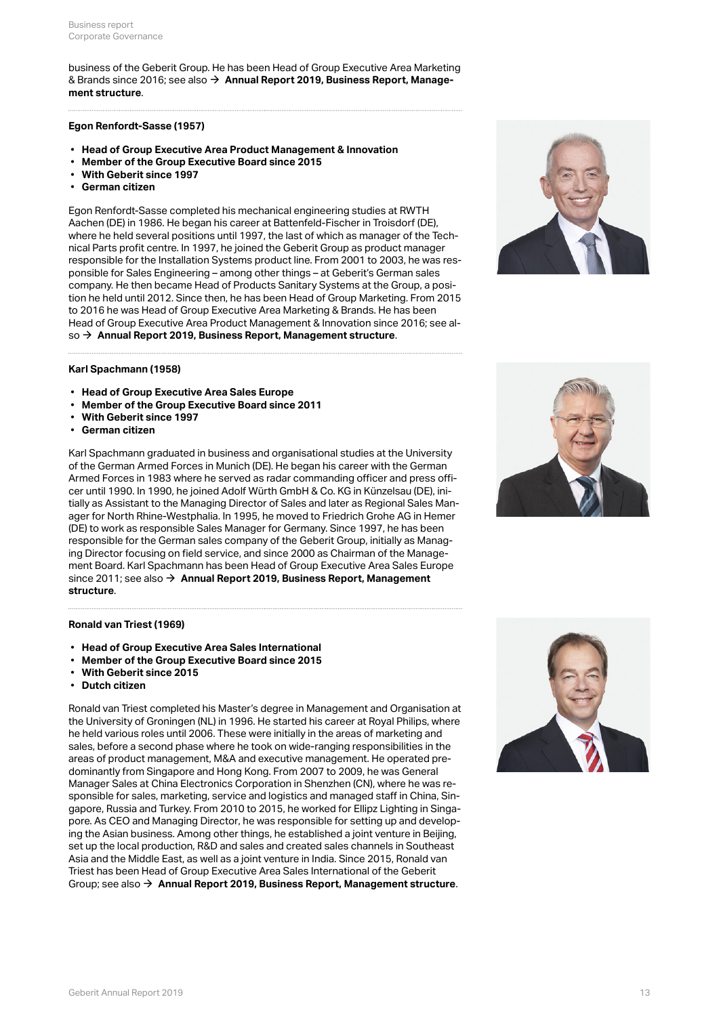business of the Geberit Group. He has been Head of Group Executive Area Marketing & Brands since 2016; see also  $\rightarrow$  **[Annual Report 2019, Business Report, Manage](http://annualreport.geberit.com/reports/geberit/annual/2019/gb/English/1040/management-structure.html)[ment structure](http://annualreport.geberit.com/reports/geberit/annual/2019/gb/English/1040/management-structure.html)** .

### **Egon Renfordt-Sasse (1957)**

- **Head of Group Executive Area Product Management & Innovation**
- **Member of the Group Executive Board since 2015**
- **With Geberit since 1997**
- **German citizen**

Egon Renfordt-Sasse completed his mechanical engineering studies at RWTH Aachen (DE) in 1986. He began his career at Battenfeld-Fischer in Troisdorf (DE), where he held several positions until 1997, the last of which as manager of the Technical Parts profit centre. In 1997, he joined the Geberit Group as product manager responsible for the Installation Systems product line. From 2001 to 2003, he was responsible for Sales Engineering – among other things – at Geberit's German sales company. He then became Head of Products Sanitary Systems at the Group, a position he held until 2012. Since then, he has been Head of Group Marketing. From 2015 to 2016 he was Head of Group Executive Area Marketing & Brands. He has been Head of Group Executive Area Product Management & Innovation since 2016; see al-so → [Annual Report 2019, Business Report, Management structure](http://annualreport.geberit.com/reports/geberit/annual/2019/gb/English/1040/management-structure.html).



## **Karl Spachmann (1958)**

- **Head of Group Executive Area Sales Europe**
- **Member of the Group Executive Board since 2011**
- **With Geberit since 1997**
- **German citizen**

Karl Spachmann graduated in business and organisational studies at the University of the German Armed Forces in Munich (DE). He began his career with the German Armed Forces in 1983 where he served as radar commanding officer and press officer until 1990. In 1990, he joined Adolf Würth GmbH & Co. KG in Künzelsau (DE), initially as Assistant to the Managing Director of Sales and later as Regional Sales Manager for North Rhine-Westphalia. In 1995, he moved to Friedrich Grohe AG in Hemer (DE) to work as responsible Sales Manager for Germany. Since 1997, he has been responsible for the German sales company of the Geberit Group, initially as Managing Director focusing on field service, and since 2000 as Chairman of the Management Board. Karl Spachmann has been Head of Group Executive Area Sales Europe since 2011; see also → Annual Report 2019, Business Report, Management **[structure](http://annualreport.geberit.com/reports/geberit/annual/2019/gb/English/1040/management-structure.html)** .

#### **Ronald van Triest (1969)**

- **Head of Group Executive Area Sales International**
- **Member of the Group Executive Board since 2015**
- **With Geberit since 2015**
- **Dutch citizen**

Ronald van Triest completed his Master's degree in Management and Organisation at the University of Groningen (NL) in 1996. He started his career at Royal Philips, where he held various roles until 2006. These were initially in the areas of marketing and sales, before a second phase where he took on wide-ranging responsibilities in the areas of product management, M&A and executive management. He operated predominantly from Singapore and Hong Kong. From 2007 to 2009, he was General Manager Sales at China Electronics Corporation in Shenzhen (CN), where he was responsible for sales, marketing, service and logistics and managed staff in China, Singapore, Russia and Turkey. From 2010 to 2015, he worked for Ellipz Lighting in Singapore. As CEO and Managing Director, he was responsible for setting up and developing the Asian business. Among other things, he established a joint venture in Beijing, set up the local production, R&D and sales and created sales channels in Southeast Asia and the Middle East, as well as a joint venture in India. Since 2015, Ronald van Triest has been Head of Group Executive Area Sales International of the Geberit Group; see also [\\$](http://annualreport.geberit.com/reports/geberit/annual/2019/gb/English/1040/management-structure.html) **[Annual Report 2019, Business Report, Management structure](http://annualreport.geberit.com/reports/geberit/annual/2019/gb/English/1040/management-structure.html)**.



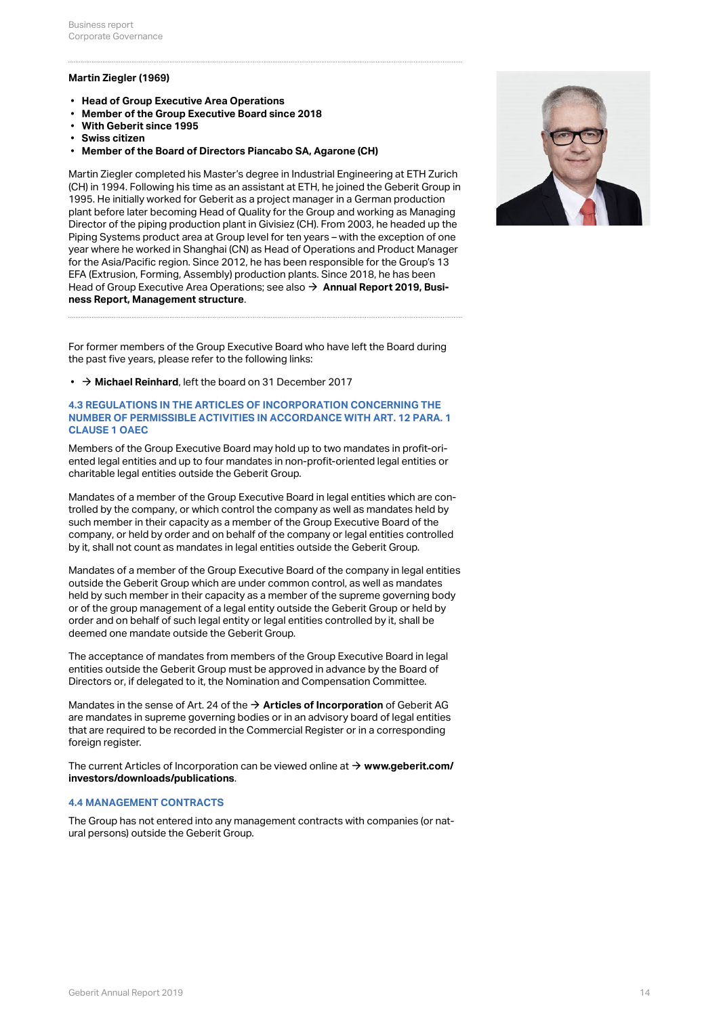## **Martin Ziegler (1969)**

- **Head of Group Executive Area Operations**
- **Member of the Group Executive Board since 2018**
- **With Geberit since 1995**
- **Swiss citizen**
- **Member of the Board of Directors Piancabo SA, Agarone (CH)**

Martin Ziegler completed his Master's degree in Industrial Engineering at ETH Zurich (CH) in 1994. Following his time as an assistant at ETH, he joined the Geberit Group in 1995. He initially worked for Geberit as a project manager in a German production plant before later becoming Head of Quality for the Group and working as Managing Director of the piping production plant in Givisiez (CH). From 2003, he headed up the Piping Systems product area at Group level for ten years – with the exception of one year where he worked in Shanghai (CN) as Head of Operations and Product Manager for the Asia/Pacific region. Since 2012, he has been responsible for the Group's 13 EFA (Extrusion, Forming, Assembly) production plants. Since 2018, he has been Head of Group Executive Area Operations; see also  $\rightarrow$  **[Annual Report 2019, Busi](http://annualreport.geberit.com/reports/geberit/annual/2019/gb/English/1040/management-structure.html)[ness Report, Management structure](http://annualreport.geberit.com/reports/geberit/annual/2019/gb/English/1040/management-structure.html)** .

For former members of the Group Executive Board who have left the Board during the past five years, please refer to the following links:

**• → [Michael Reinhard](https://annualreport.geberit.com/reports/geberit/annual/2017/gb/English/106040/4_-group-executive-board.html#MichaelReinhard)**, left the board on 31 December 2017

## **4.3 REGULATIONS IN THE ARTICLES OF INCORPORATION CONCERNING THE NUMBER OF PERMISSIBLE ACTIVITIES IN ACCORDANCE WITH ART. 12 PARA. 1 CLAUSE 1 OAEC**

Members of the Group Executive Board may hold up to two mandates in profit-oriented legal entities and up to four mandates in non-profit-oriented legal entities or charitable legal entities outside the Geberit Group.

Mandates of a member of the Group Executive Board in legal entities which are controlled by the company, or which control the company as well as mandates held by such member in their capacity as a member of the Group Executive Board of the company, or held by order and on behalf of the company or legal entities controlled by it, shall not count as mandates in legal entities outside the Geberit Group.

Mandates of a member of the Group Executive Board of the company in legal entities outside the Geberit Group which are under common control, as well as mandates held by such member in their capacity as a member of the supreme governing body or of the group management of a legal entity outside the Geberit Group or held by order and on behalf of such legal entity or legal entities controlled by it, shall be deemed one mandate outside the Geberit Group.

The acceptance of mandates from members of the Group Executive Board in legal entities outside the Geberit Group must be approved in advance by the Board of Directors or, if delegated to it, the Nomination and Compensation Committee.

Mandates in the sense of Art. 24 of the  $\rightarrow$  **[Articles of Incorporation](https://annualreport.geberit.com/geberit/annual/2019/gb/layout/../English/pdf/articles_of_incorporation_geberit_ag.pdf)** of Geberit AG are mandates in supreme governing bodies or in an advisory board of legal entities that are required to be recorded in the Commercial Register or in a corresponding foreign register.

The current Articles of Incorporation can be viewed online at → [www.geberit.com/](http://www.geberit.com/investors/downloads/publications/) **[investors/downloads/publications](http://www.geberit.com/investors/downloads/publications/)** .

## **4.4 MANAGEMENT CONTRACTS**

The Group has not entered into any management contracts with companies (or natural persons) outside the Geberit Group.

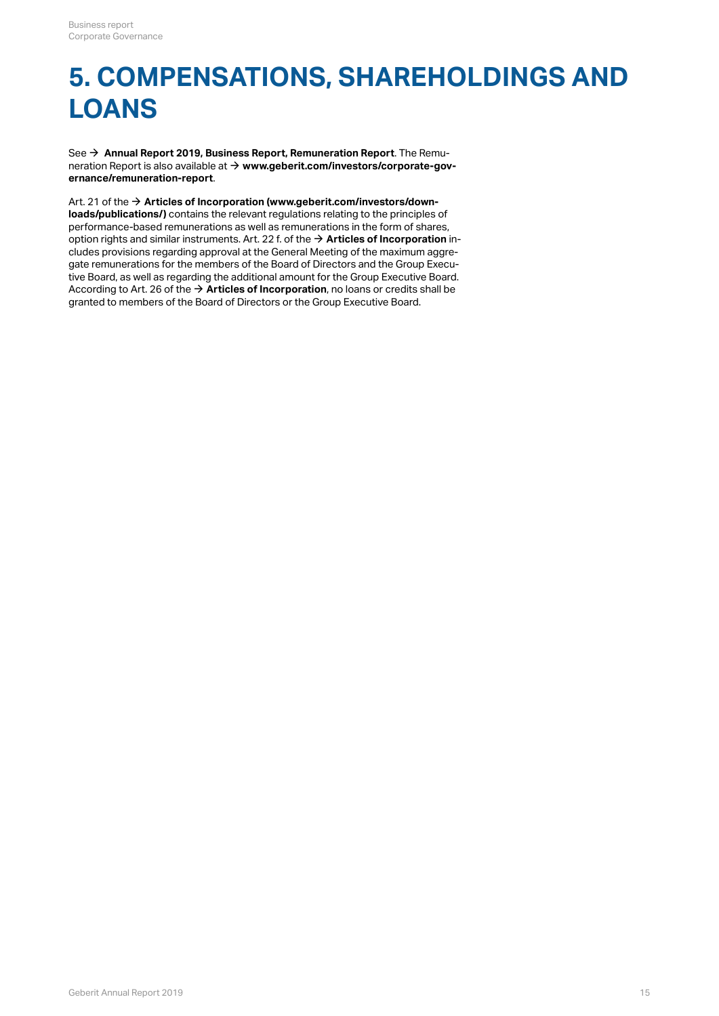## **5. COMPENSATIONS, SHAREHOLDINGS AND LOANS**

See → [Annual Report 2019, Business Report, Remuneration Report](http://annualreport.geberit.com/reports/geberit/annual/2019/gb/English/1070/remune_ration-report.html?anchor=pdf_page_107010#pdf_page_107010). The Remuneration Report is also available at **[www.geberit.com/investors/corporate-gov-](https://www.geberit.com/investors/corporate-governance/remuneration-report/)**[\\$](https://www.geberit.com/investors/corporate-governance/remuneration-report/) **[ernance/remuneration-report](https://www.geberit.com/investors/corporate-governance/remuneration-report/)** .

Art. 21 of the  $\rightarrow$  [Articles of Incorporation \(www.geberit.com/investors/down](https://annualreport.geberit.com/geberit/annual/2019/gb/layout/../English/pdf/articles_of_incorporation_geberit_ag.pdf)**[loads/publications/\)](https://annualreport.geberit.com/geberit/annual/2019/gb/layout/../English/pdf/articles_of_incorporation_geberit_ag.pdf)** contains the relevant regulations relating to the principles of performance-based remunerations as well as remunerations in the form of shares, option rights and similar instruments. Art. 22 f. of the  $\rightarrow$  [Articles of Incorporation](https://annualreport.geberit.com/geberit/annual/2019/gb/layout/../English/pdf/articles_of_incorporation_geberit_ag.pdf) includes provisions regarding approval at the General Meeting of the maximum aggregate remunerations for the members of the Board of Directors and the Group Executive Board, as well as regarding the additional amount for the Group Executive Board. According to Art. 26 of the  $\rightarrow$  [Articles of Incorporation](https://annualreport.geberit.com/geberit/annual/2019/gb/layout/../English/pdf/articles_of_incorporation_geberit_ag.pdf), no loans or credits shall be granted to members of the Board of Directors or the Group Executive Board.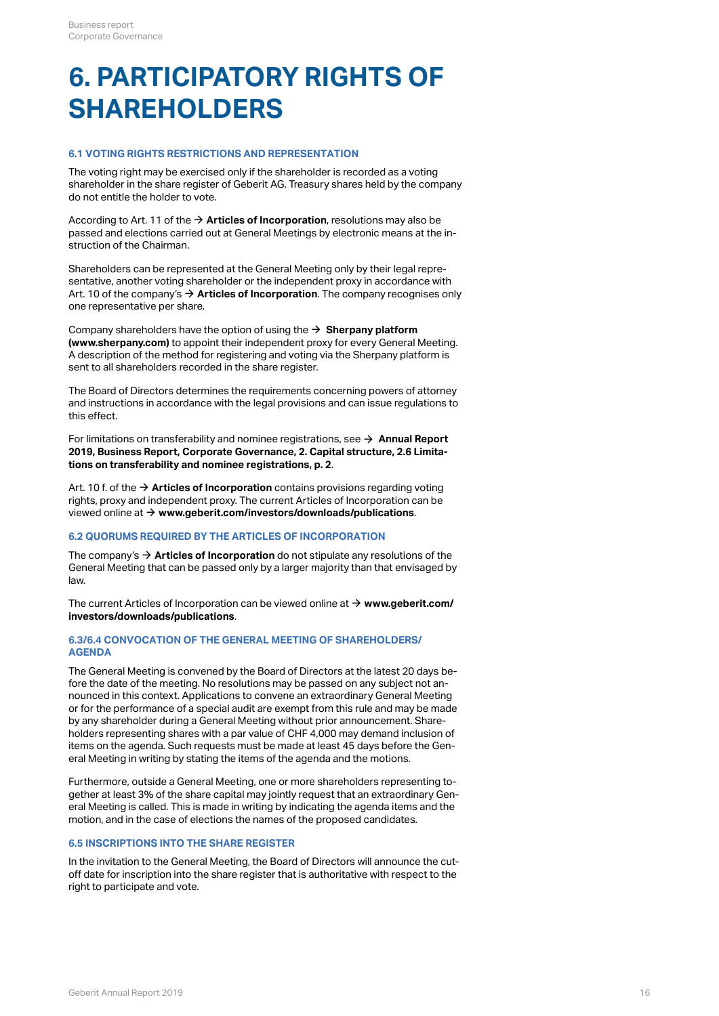## <span id="page-15-0"></span>**6. PARTICIPATORY RIGHTS OF SHAREHOLDERS**

## **6.1 VOTING RIGHTS RESTRICTIONS AND REPRESENTATION**

The voting right may be exercised only if the shareholder is recorded as a voting shareholder in the share register of Geberit AG. Treasury shares held by the company do not entitle the holder to vote.

According to Art. 11 of the  $\rightarrow$  [Articles of Incorporation](http://annualreport.geberit.com/geberit/annual/2019/gb/layout/../English/pdf/articles_of_incorporation_geberit_ag.pdf), resolutions may also be passed and elections carried out at General Meetings by electronic means at the instruction of the Chairman.

Shareholders can be represented at the General Meeting only by their legal representative, another voting shareholder or the independent proxy in accordance with Art. 10 of the company's  $\rightarrow$  [Articles of Incorporation](http://annualreport.geberit.com/geberit/annual/2019/gb/layout/../English/pdf/articles_of_incorporation_geberit_ag.pdf). The company recognises only one representative per share.

Company shareholders have the option of using the  $\rightarrow$  Sherpany platform **[\(www.sherpany.com\)](https://www.sherpany.com/en/)**  to appoint their independent proxy for every General Meeting. A description of the method for registering and voting via the Sherpany platform is sent to all shareholders recorded in the share register.

The Board of Directors determines the requirements concerning powers of attorney and instructions in accordance with the legal provisions and can issue regulations to this effect.

For limitations on transferability and nominee registrations, see → [Annual Report](#page-1-0) **[2019, Business Report, Corporate Governance, 2. Capital structure, 2.6 Limita](#page-1-0)[tions on transferability and nominee registrations, p. 2](#page-1-0)** .

Art. 10 f. of the  $\rightarrow$  [Articles of Incorporation](http://annualreport.geberit.com/geberit/annual/2019/gb/layout/../English/pdf/articles_of_incorporation_geberit_ag.pdf) contains provisions regarding voting rights, proxy and independent proxy. The current Articles of Incorporation can be viewed online at → [www.geberit.com/investors/downloads/publications](https://www.geberit.com/investors/downloads/publications/).

## **6.2 QUORUMS REQUIRED BY THE ARTICLES OF INCORPORATION**

The company's  $\rightarrow$  [Articles of Incorporation](http://annualreport.geberit.com/geberit/annual/2019/gb/layout/../English/pdf/articles_of_incorporation_geberit_ag.pdf) do not stipulate any resolutions of the General Meeting that can be passed only by a larger majority than that envisaged by law.

The current Articles of Incorporation can be viewed online at → [www.geberit.com/](https://www.geberit.com/investors/downloads/publications/) **[investors/downloads/publications](https://www.geberit.com/investors/downloads/publications/)** .

## **6.3/6.4 CONVOCATION OF THE GENERAL MEETING OF SHAREHOLDERS/ AGENDA**

The General Meeting is convened by the Board of Directors at the latest 20 days before the date of the meeting. No resolutions may be passed on any subject not announced in this context. Applications to convene an extraordinary General Meeting or for the performance of a special audit are exempt from this rule and may be made by any shareholder during a General Meeting without prior announcement. Shareholders representing shares with a par value of CHF 4,000 may demand inclusion of items on the agenda. Such requests must be made at least 45 days before the General Meeting in writing by stating the items of the agenda and the motions.

Furthermore, outside a General Meeting, one or more shareholders representing together at least 3% of the share capital may jointly request that an extraordinary General Meeting is called. This is made in writing by indicating the agenda items and the motion, and in the case of elections the names of the proposed candidates.

## **6.5 INSCRIPTIONS INTO THE SHARE REGISTER**

In the invitation to the General Meeting, the Board of Directors will announce the cutoff date for inscription into the share register that is authoritative with respect to the right to participate and vote.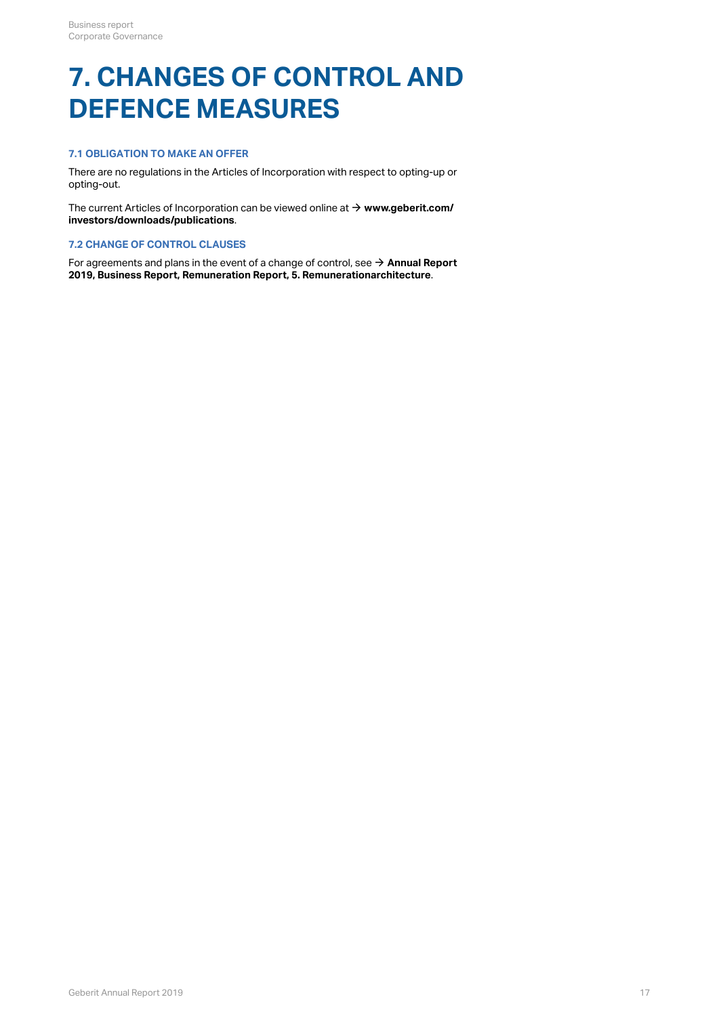## **7. CHANGES OF CONTROL AND DEFENCE MEASURES**

## **7.1 OBLIGATION TO MAKE AN OFFER**

There are no regulations in the Articles of Incorporation with respect to opting-up or opting-out.

The current Articles of Incorporation can be viewed online at → [www.geberit.com/](https://www.geberit.com/investors/downloads/publications/) **[investors/downloads/publications](https://www.geberit.com/investors/downloads/publications/)** .

## **7.2 CHANGE OF CONTROL CLAUSES**

For agreements and plans in the event of a change of control, see  $\rightarrow$  Annual Report **[2019, Business Report, Remuneration Report, 5. Remunerationarchitecture](http://annualreport.geberit.com/reports/geberit/annual/2019/gb/English/107050/5_-remune_rationarchitecture.html)** .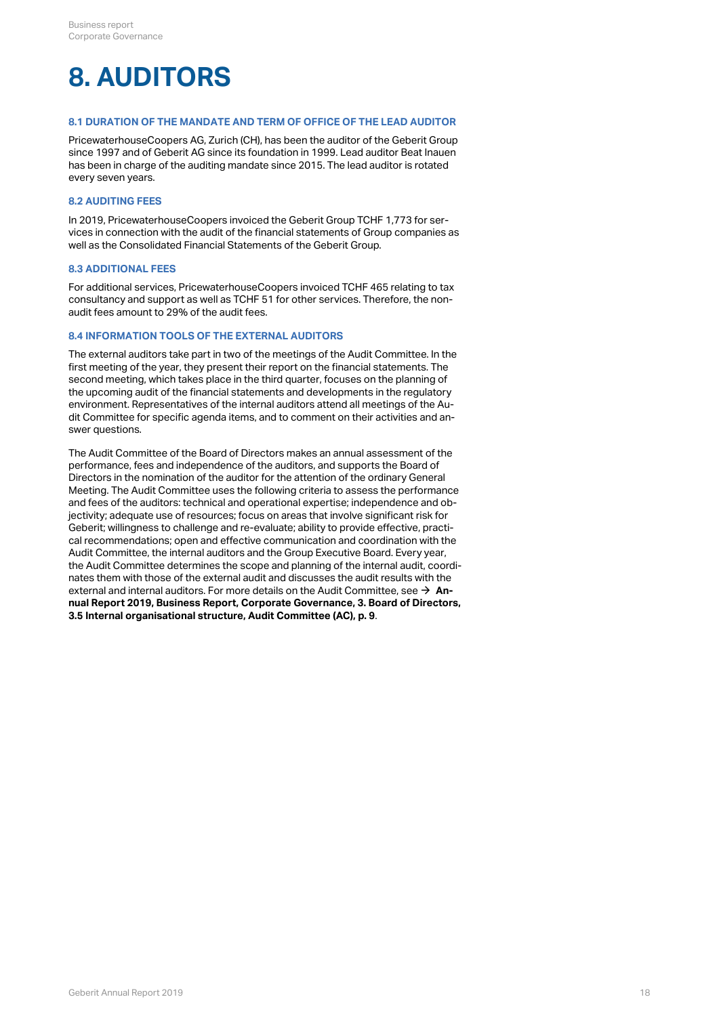## **8. AUDITORS**

## **8.1 DURATION OF THE MANDATE AND TERM OF OFFICE OF THE LEAD AUDITOR**

PricewaterhouseCoopers AG, Zurich (CH), has been the auditor of the Geberit Group since 1997 and of Geberit AG since its foundation in 1999. Lead auditor Beat Inauen has been in charge of the auditing mandate since 2015. The lead auditor is rotated every seven years.

## **8.2 AUDITING FEES**

In 2019, PricewaterhouseCoopers invoiced the Geberit Group TCHF 1,773 for services in connection with the audit of the financial statements of Group companies as well as the Consolidated Financial Statements of the Geberit Group.

## **8.3 ADDITIONAL FEES**

For additional services, PricewaterhouseCoopers invoiced TCHF 465 relating to tax consultancy and support as well as TCHF 51 for other services. Therefore, the nonaudit fees amount to 29% of the audit fees.

## **8.4 INFORMATION TOOLS OF THE EXTERNAL AUDITORS**

The external auditors take part in two of the meetings of the Audit Committee. In the first meeting of the year, they present their report on the financial statements. The second meeting, which takes place in the third quarter, focuses on the planning of the upcoming audit of the financial statements and developments in the regulatory environment. Representatives of the internal auditors attend all meetings of the Audit Committee for specific agenda items, and to comment on their activities and answer questions.

The Audit Committee of the Board of Directors makes an annual assessment of the performance, fees and independence of the auditors, and supports the Board of Directors in the nomination of the auditor for the attention of the ordinary General Meeting. The Audit Committee uses the following criteria to assess the performance and fees of the auditors: technical and operational expertise; independence and objectivity; adequate use of resources; focus on areas that involve significant risk for Geberit; willingness to challenge and re-evaluate; ability to provide effective, practical recommendations; open and effective communication and coordination with the Audit Committee, the internal auditors and the Group Executive Board. Every year, the Audit Committee determines the scope and planning of the internal audit, coordinates them with those of the external audit and discusses the audit results with the external and internal auditors. For more details on the Audit Committee, see  $\rightarrow$  [An](#page-8-0)**[nual Report 2019, Business Report, Corporate Governance, 3. Board of Directors,](#page-8-0)  [3.5 Internal organisational structure, Audit Committee \(AC\),](#page-8-0) [p. 9](#page-8-0)** .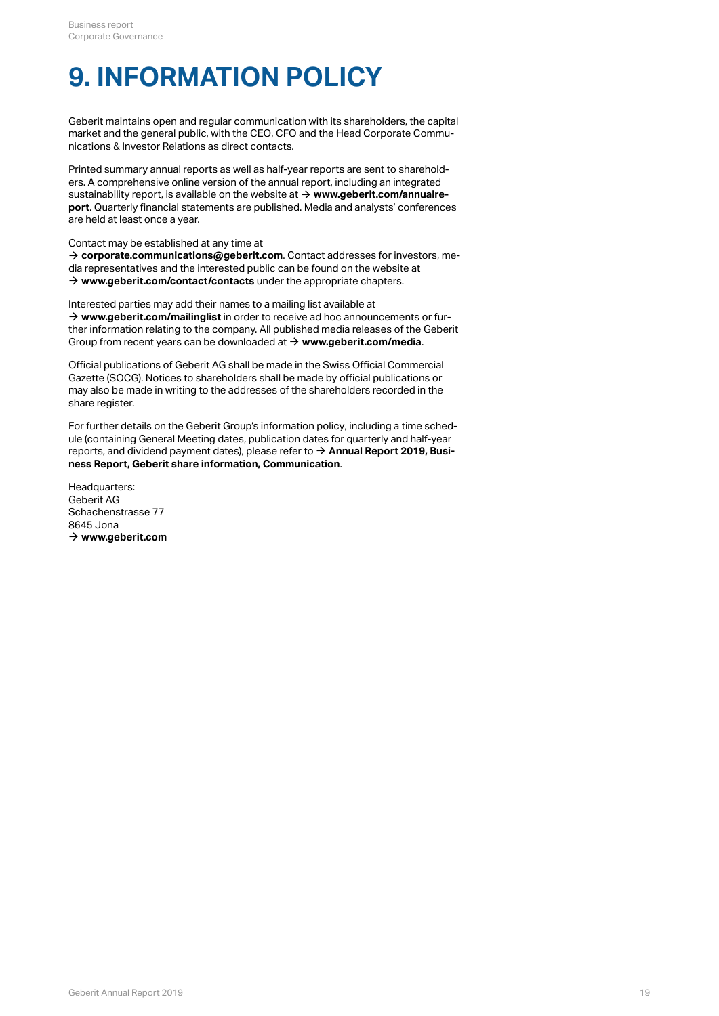## **9. INFORMATION POLICY**

Geberit maintains open and regular communication with its shareholders, the capital market and the general public, with the CEO, CFO and the Head Corporate Communications & Investor Relations as direct contacts.

Printed summary annual reports as well as half-year reports are sent to shareholders. A comprehensive online version of the annual report, including an integrated sustainability report, is available on the website at  $\rightarrow$  [www.geberit.com/annualre](http://annualreport.geberit.com/reports/geberit/annual/2019/gb/English/0/home.html)**[port](http://annualreport.geberit.com/reports/geberit/annual/2019/gb/English/0/home.html)** . Quarterly financial statements are published. Media and analysts' conferences are held at least once a year.

Contact may be established at any time at

 $\rightarrow$  [corporate.communications@geberit.com](mailto:corporate.communications@geberit.com). Contact addresses for investors, media representatives and the interested public can be found on the website at  $\rightarrow$  [www.geberit.com/contact/contacts](https://www.geberit.com/contact/contacts/) under the appropriate chapters.

Interested parties may add their names to a mailing list available at  $\rightarrow$  [www.geberit.com/mailinglist](https://www.geberit.com/mailinglist) in order to receive ad hoc announcements or further information relating to the company. All published media releases of the Geberit Group from recent years can be downloaded at  $\rightarrow$  [www.geberit.com/media](https://www.geberit.com/media/).

Official publications of Geberit AG shall be made in the Swiss Official Commercial Gazette (SOCG). Notices to shareholders shall be made by official publications or may also be made in writing to the addresses of the shareholders recorded in the share register.

For further details on the Geberit Group's information policy, including a time schedule (containing General Meeting dates, publication dates for quarterly and half-year reports, and dividend payment dates), please refer to  $\rightarrow$  **[Annual Report 2019, Busi](http://annualreport.geberit.com/reports/geberit/annual/2019/gb/English/1030/geberit-share-information.html?anchor=communication#communication)[ness Report, Geberit share information, Communication](http://annualreport.geberit.com/reports/geberit/annual/2019/gb/English/1030/geberit-share-information.html?anchor=communication#communication)** .

Headquarters: Geberit AG Schachenstrasse 77 8645 Jona  $\rightarrow$  [www.geberit.com](https://www.geberit.com)